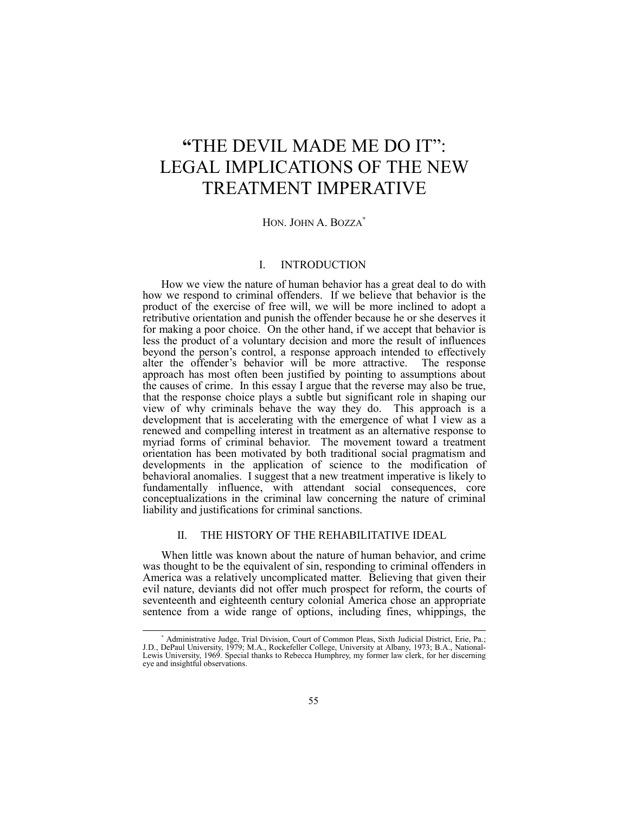# **"THE DEVIL MADE ME DO IT":** LEGAL IMPLICATIONS OF THE NEW TREATMENT IMPERATIVE

# HON. JOHN A. BOZZA<sup>\*</sup>

# I. INTRODUCTION

How we view the nature of human behavior has a great deal to do with how we respond to criminal offenders. If we believe that behavior is the product of the exercise of free will, we will be more inclined to adopt a retributive orientation and punish the offender because he or she deserves it for making a poor choice. On the other hand, if we accept that behavior is less the product of a voluntary decision and more the result of influences beyond the person's control, a response approach intended to effectively alter the offender's behavior will be more attractive. The response approach has most often been justified by pointing to assumptions about the causes of crime. In this essay I argue that the reverse may also be true, that the response choice plays a subtle but significant role in shaping our view of why criminals behave the way they do. This approach is a development that is accelerating with the emergence of what I view as a renewed and compelling interest in treatment as an alternative response to myriad forms of criminal behavior. The movement toward a treatment orientation has been motivated by both traditional social pragmatism and developments in the application of science to the modification of behavioral anomalies. I suggest that a new treatment imperative is likely to fundamentally influence, with attendant social consequences, core conceptualizations in the criminal law concerning the nature of criminal liability and justifications for criminal sanctions.

## II. THE HISTORY OF THE REHABILITATIVE IDEAL

When little was known about the nature of human behavior, and crime was thought to be the equivalent of sin, responding to criminal offenders in America was a relatively uncomplicated matter. Believing that given their evil nature, deviants did not offer much prospect for reform, the courts of seventeenth and eighteenth century colonial America chose an appropriate sentence from a wide range of options, including fines, whippings, the

<sup>∗</sup> Administrative Judge, Trial Division, Court of Common Pleas, Sixth Judicial District, Erie, Pa.; J.D., DePaul University, 1979; M.A., Rockefeller College, University at Albany, 1973; B.A., National-Lewis University, 1969. Special thanks to Rebecca Humphrey, my former law clerk, for her discerning eye and insightful observations.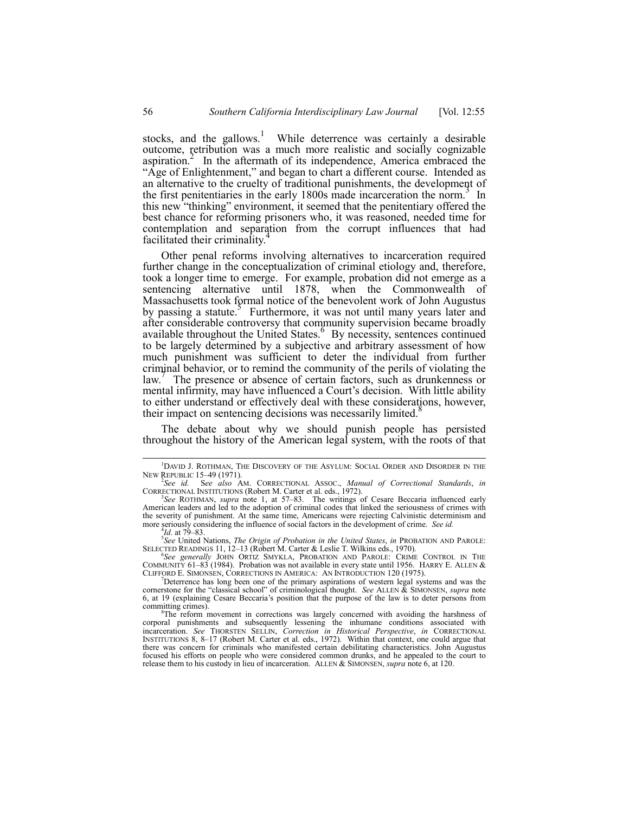stocks, and the gallows.<sup>1</sup> While deterrence was certainly a desirable outcome, retribution was a much more realistic and socially cognizable aspiration.<sup>2</sup> In the aftermath of its independence, America embraced the "Age of Enlightenment," and began to chart a different course. Intended as an alternative to the cruelty of traditional punishments, the development of the first penitentiaries in the early 1800s made incarceration the norm.<sup>3</sup> In this new "thinking" environment, it seemed that the penitentiary offered the best chance for reforming prisoners who, it was reasoned, needed time for contemplation and separation from the corrupt influences that had facilitated their criminality.<sup>4</sup>

Other penal reforms involving alternatives to incarceration required further change in the conceptualization of criminal etiology and, therefore, took a longer time to emerge. For example, probation did not emerge as a sentencing alternative until 1878, when the Commonwealth of Massachusetts took formal notice of the benevolent work of John Augustus by passing a statute.<sup>5</sup> Furthermore, it was not until many years later and after considerable controversy that community supervision became broadly available throughout the United States. By necessity, sentences continued to be largely determined by a subjective and arbitrary assessment of how much punishment was sufficient to deter the individual from further criminal behavior, or to remind the community of the perils of violating the law.<sup>7</sup> The presence or absence of certain factors, such as drunkenness or mental infirmity, may have influenced a Court's decision. With little ability to either understand or effectively deal with these considerations, however, their impact on sentencing decisions was necessarily limited.<sup>8</sup>

The debate about why we should punish people has persisted throughout the history of the American legal system, with the roots of that

 $\frac{1}{1}$  $^{1}$ DAVID J. ROTHMAN, THE DISCOVERY OF THE ASYLUM: SOCIAL ORDER AND DISORDER IN THE NEW REPUBLIC 15–49 (1971).

NEW REPUBLIC 15–49 (1971).<br><sup>2</sup>See id. See also AM. CORRECTIONAL ASSOC., *Manual of Correctional Standards*, in<br>CORRECTIONAL INSTITUTIONS (Robert M. Carter et al. eds., 1972).<br><sup>3</sup>See ROTHMAN, *supra* note 1, at 57–83. The w

American leaders and led to the adoption of criminal codes that linked the seriousness of crimes with the severity of punishment. At the same time, Americans were rejecting Calvinistic determinism and more seriously considering the influence of social factors in the development of crime. *See id.* 4*Id.* at 79–83.

*Id.* at 79–83.<br><sup>5</sup>*See* United Nations, *The Origin of Probation in the United States, <i>in* PROBATION AND PAROLE: SELECTED READINGS 11, 12–13 (Robert M. Carter & Leslie T. Wilkins eds., 1970). <sup>6</sup>See *generally* JOHN ORTIZ SMYKLA, PROBATION AND PAROLE: CRIME CONTROL IN THE

COMMUNITY 61-83 (1984). Probation was not available in every state until 1956. HARRY E. ALLEN  $&$ CLIFFORD E. SIMONSEN, CORRECTIONS IN AMERICA: AN INTRODUCTION 120 (1975). <sup>7</sup>

Deterrence has long been one of the primary aspirations of western legal systems and was the cornerstone for the "classical school" of criminological thought. *See* ALLEN & SIMONSEN, *supra* note 6, at 19 (explaining Cesare Beccariaís position that the purpose of the law is to deter persons from committing crimes).

The reform movement in corrections was largely concerned with avoiding the harshness of corporal punishments and subsequently lessening the inhumane conditions associated with incarceration. *See* THORSTEN SELLIN, *Correction in Historical Perspective*, *in* CORRECTIONAL INSTITUTIONS 8, 8-17 (Robert M. Carter et al. eds., 1972). Within that context, one could argue that there was concern for criminals who manifested certain debilitating characteristics. John Augustus focused his efforts on people who were considered common drunks, and he appealed to the court to release them to his custody in lieu of incarceration. ALLEN & SIMONSEN, *supra* note 6, at 120.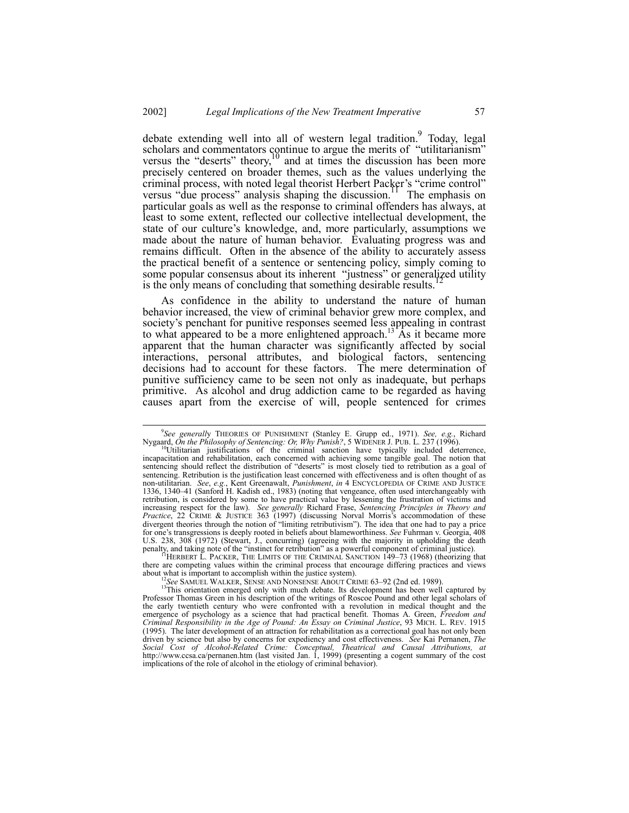debate extending well into all of western legal tradition. Today, legal scholars and commentators continue to argue the merits of "utilitarianism" versus the "deserts" theory, $\frac{10}{10}$  and at times the discussion has been more precisely centered on broader themes, such as the values underlying the criminal process, with noted legal theorist Herbert Packer's "crime control" versus "due process" analysis shaping the discussion.<sup>1</sup> The emphasis on versus "due process" analysis shaping the discussion.<sup>11</sup> particular goals as well as the response to criminal offenders has always, at least to some extent, reflected our collective intellectual development, the state of our culture's knowledge, and, more particularly, assumptions we made about the nature of human behavior. Evaluating progress was and remains difficult. Often in the absence of the ability to accurately assess the practical benefit of a sentence or sentencing policy, simply coming to some popular consensus about its inherent "justness" or generalized utility is the only means of concluding that something desirable results.<sup>1</sup>

As confidence in the ability to understand the nature of human behavior increased, the view of criminal behavior grew more complex, and society's penchant for punitive responses seemed less appealing in contrast to what appeared to be a more enlightened approach.<sup>13</sup> As it became more apparent that the human character was significantly affected by social interactions, personal attributes, and biological factors, sentencing decisions had to account for these factors. The mere determination of punitive sufficiency came to be seen not only as inadequate, but perhaps primitive. As alcohol and drug addiction came to be regarded as having causes apart from the exercise of will, people sentenced for crimes

there are competing values within the criminal process that encourage differing practices and views about what is important to accomplish within the justice system).

 $\overline{9}$ *See generall*y THEORIES OF PUNISHMENT (Stanley E. Grupp ed., 1971). *See, e.g.*, Richard Nygaard, *On the Philosophy of Sentencing: Or, Why Punish?*, 5 WIDENER J. PUB. L. 237 (1996). <sup>10</sup>Utilitarian justifications of the criminal sanction have typically included deterrence,

incapacitation and rehabilitation, each concerned with achieving some tangible goal. The notion that sentencing should reflect the distribution of "deserts" is most closely tied to retribution as a goal of sentencing. Retribution is the justification least concerned with effectiveness and is often thought of as non-utilitarian. *See*, *e.g.*, Kent Greenawalt, *Punishment*, *in* 4 ENCYCLOPEDIA OF CRIME AND JUSTICE<br>1336, 1340–41 (Sanford H. Kadish ed., 1983) (noting that vengeance, often used interchangeably with retribution, is considered by some to have practical value by lessening the frustration of victims and increasing respect for the law). *See generally* Richard Frase, *Sentencing Principles in Theory and Practice*, 22 CRIME & JUSTICE 363 (1997) (discussing Norval Morrisís accommodation of these divergent theories through the notion of "limiting retributivism"). The idea that one had to pay a price for oneís transgressions is deeply rooted in beliefs about blameworthiness. *See* Fuhrman v. Georgia, 408 U.S. 238, 308 (1972) (Stewart, J., concurring) (agreeing with the majority in upholding the death penalty, and taking note of the "instinct for retribution" as a powerful component of criminal justice).<br><sup>11</sup>HERBERT L. PACKER, THE LIMITS OF THE CRIMINAL SANCTION 149-73 (1968) (theorizing that

<sup>&</sup>lt;sup>12</sup>See SAMUEL WALKER, SENSE AND NONSENSE ABOUT CRIME 63–92 (2nd ed. 1989).<br><sup>13</sup>This orientation emerged only with much debate. Its development has been well captured by Professor Thomas Green in his description of the writings of Roscoe Pound and other legal scholars of the early twentieth century who were confronted with a revolution in medical thought and the emergence of psychology as a science that had practical benefit. Thomas A. Green, *Freedom and Criminal Responsibility in the Age of Pound: An Essay on Criminal Justice*, 93 MICH. L. REV. 1915 (1995). The later development of an attraction for rehabilitation as a correctional goal has not only been driven by science but also by concerns for expediency and cost effectiveness. *See* Kai Pernanen, *The Social Cost of Alcohol-Related Crime: Conceptual, Theatrical and Causal Attributions, at* http://www.ccsa.ca/pernanen.htm (last visited Jan. 1, 1999) (presenting a cogent summary of the cost implications of the role of alcohol in the etiology of criminal behavior).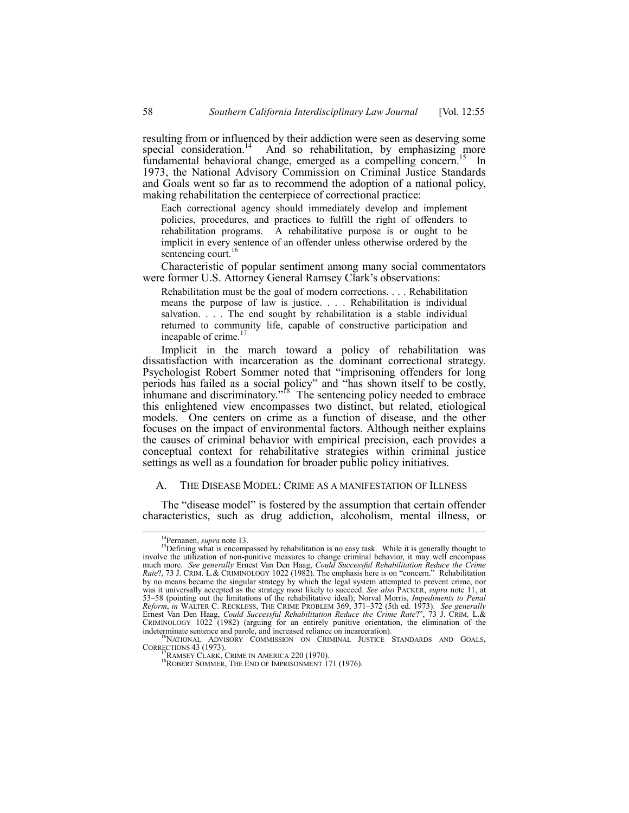resulting from or influenced by their addiction were seen as deserving some special consideration.<sup>14</sup> And so rehabilitation, by emphasizing more And so rehabilitation, by emphasizing more fundamental behavioral change, emerged as a compelling concern.<sup>15</sup> In 1973, the National Advisory Commission on Criminal Justice Standards and Goals went so far as to recommend the adoption of a national policy, making rehabilitation the centerpiece of correctional practice:

Each correctional agency should immediately develop and implement policies, procedures, and practices to fulfill the right of offenders to rehabilitation programs. A rehabilitative purpose is or ought to be implicit in every sentence of an offender unless otherwise ordered by the sentencing court.<sup>16</sup>

Characteristic of popular sentiment among many social commentators were former U.S. Attorney General Ramsey Clark's observations:

Rehabilitation must be the goal of modern corrections. . . . Rehabilitation means the purpose of law is justice. . . . Rehabilitation is individual salvation. . . . The end sought by rehabilitation is a stable individual returned to community life, capable of constructive participation and incapable of crime.<sup>17</sup>

Implicit in the march toward a policy of rehabilitation was dissatisfaction with incarceration as the dominant correctional strategy. Psychologist Robert Sommer noted that "imprisoning offenders for long periods has failed as a social policy" and "has shown itself to be costly, inhumane and discriminatory.<sup> $18$ </sup> The sentencing policy needed to embrace this enlightened view encompasses two distinct, but related, etiological models. One centers on crime as a function of disease, and the other focuses on the impact of environmental factors. Although neither explains the causes of criminal behavior with empirical precision, each provides a conceptual context for rehabilitative strategies within criminal justice settings as well as a foundation for broader public policy initiatives.

## A. THE DISEASE MODEL: CRIME AS A MANIFESTATION OF ILLNESS

The "disease model" is fostered by the assumption that certain offender characteristics, such as drug addiction, alcoholism, mental illness, or

<sup>&</sup>lt;sup>14</sup>Pernanen, *supra* note 13.<br><sup>15</sup>Defining what is encompassed by rehabilitation is no easy task. While it is generally thought to involve the utilization of non-punitive measures to change criminal behavior, it may well encompass much more. *See generally* Ernest Van Den Haag, *Could Successful Rehabilitation Reduce the Crime Rate*?, 73 J. CRIM. L.& CRIMINOLOGY 1022 (1982). The emphasis here is on "concern." Rehabilitation by no means became the singular strategy by which the legal system attempted to prevent crime, nor was it universally accepted as the strategy most likely to succeed. *See also* PACKER, *supra* note 11, at 53–58 (pointing out the limitations of the rehabilitative ideal); Norval Morris, *Impediments to Penal Reform*, *in* WALTER C. RECKLESS, THE CRIME PROBLEM 369, 371–372 (5th ed. 1973). *See generally*<br>Ernest Van Den Haag, *Could Successful Rehabilitation Reduce the Crime Rate?*?, 73 J. CRIM. L.& CRIMINOLOGY  $1022$  (1982) (arguing for an entirely punitive orientation, the elimination of the

indeterminate sentence and parole, and increased reliance on incarceration).<br><sup>16</sup>NATIONAL ADVISORY COMMISSION ON CRIMINAL JUSTICE STANDARDS AND GOALS, CORRECTIONS 43 (1973).<br><sup>17</sup>RAMSEY CLARK, CRIME IN AMERICA 220 (1970).<br><sup>18</sup>ROBERT SOMMER, THE END OF IMPRISONMENT 171 (1976).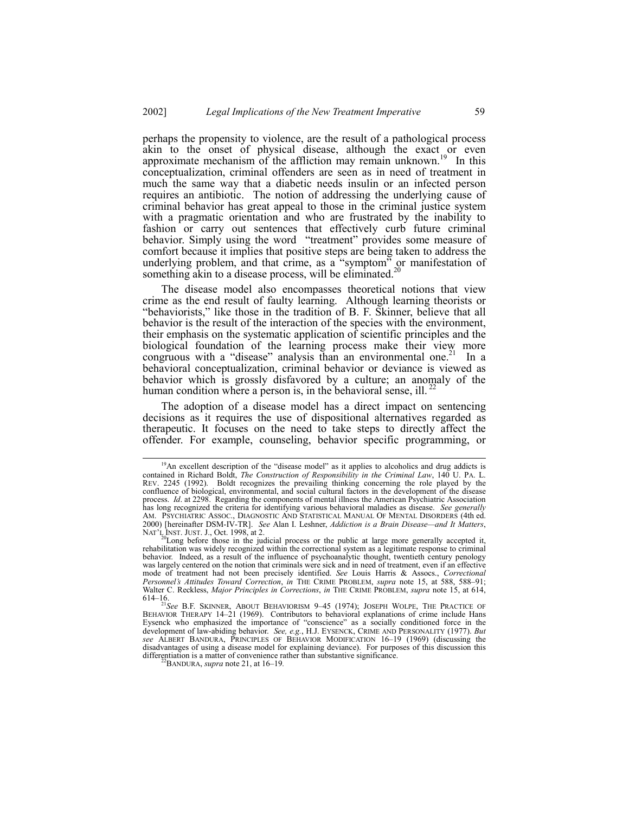perhaps the propensity to violence, are the result of a pathological process akin to the onset of physical disease, although the exact or even approximate mechanism of the affliction may remain unknown.<sup>19</sup> In this conceptualization, criminal offenders are seen as in need of treatment in much the same way that a diabetic needs insulin or an infected person requires an antibiotic. The notion of addressing the underlying cause of criminal behavior has great appeal to those in the criminal justice system with a pragmatic orientation and who are frustrated by the inability to fashion or carry out sentences that effectively curb future criminal behavior. Simply using the word "treatment" provides some measure of comfort because it implies that positive steps are being taken to address the underlying problem, and that crime, as a "symptom" or manifestation of something akin to a disease process, will be eliminated.<sup>20</sup>

The disease model also encompasses theoretical notions that view crime as the end result of faulty learning. Although learning theorists or "behaviorists," like those in the tradition of B. F. Skinner, believe that all behavior is the result of the interaction of the species with the environment, their emphasis on the systematic application of scientific principles and the biological foundation of the learning process make their view more congruous with a "disease" analysis than an environmental one.<sup>21</sup> In a behavioral conceptualization, criminal behavior or deviance is viewed as behavior which is grossly disfavored by a culture; an anomaly of the human condition where a person is, in the behavioral sense, ill.<sup>2</sup>

The adoption of a disease model has a direct impact on sentencing decisions as it requires the use of dispositional alternatives regarded as therapeutic. It focuses on the need to take steps to directly affect the offender. For example, counseling, behavior specific programming, or

<sup>&</sup>lt;sup>19</sup>An excellent description of the "disease model" as it applies to alcoholics and drug addicts is contained in Richard Boldt, *The Construction of Responsibility in the Criminal Law*, 140 U. PA. L. REV. 2245 (1992). Boldt recognizes the prevailing thinking concerning the role played by the confluence of biological, environmental, and social cultural factors in the development of the disease process. *Id*. at 2298. Regarding the components of mental illness the American Psychiatric Association has long recognized the criteria for identifying various behavioral maladies as disease. *See generally* AM. PSYCHIATRIC ASSOC., DIAGNOSTIC AND STATISTICAL MANUAL OF MENTAL DISORDERS (4th ed. 2000) [hereinafter DSM-IV-TR]. See Alan I. Leshner, *Addiction is a Brain Disease—and It Matters*, NAT'L INST. JUST. J., Oct. 1998, at 2.<br><sup>20</sup>Long before those in the judicial process or the public at large more generally

<sup>&</sup>lt;sup>20</sup>Long before those in the judicial process or the public at large more generally accepted it, rehabilitation was widely recognized within the correctional system as a legitimate response to criminal behavior. Indeed, as a result of the influence of psychoanalytic thought, twentieth century penology was largely centered on the notion that criminals were sick and in need of treatment, even if an effective mode of treatment had not been precisely identified. *See* Louis Harris & Assocs., *Correctional Personnel's Attitudes Toward Correction, in* THE CRIME PROBLEM, *supra* note 15, at 588, 588-91; Walter C. Reckless, *Major Principles in Corrections*, *in* THE CRIME PROBLEM, *supra* note 15, at 614,

<sup>614&</sup>lt;sup>16</sup>.<br><sup>21</sup>*See* B.F. SKINNER, ABOUT BEHAVIORISM 9-45 (1974); JOSEPH WOLPE, THE PRACTICE OF BEHAVIOR THERAPY  $14-21$  (1969). Contributors to behavioral explanations of crime include Hans Eysenck who emphasized the importance of "conscience" as a socially conditioned force in the development of law-abiding behavior. *See, e.g.*, H.J. EYSENCK, CRIME AND PERSONALITY (1977). *But see* ALBERT BANDURA, PRINCIPLES OF BEHAVIOR MODIFICATION 16-19 (1969) (discussing the disadvantages of using a disease model for explaining deviance). For purposes of this discussion this differentiation is a matter of convenience rather than substantive significance. <sup>22</sup>BANDURA, *supra* note 21, at 16–19.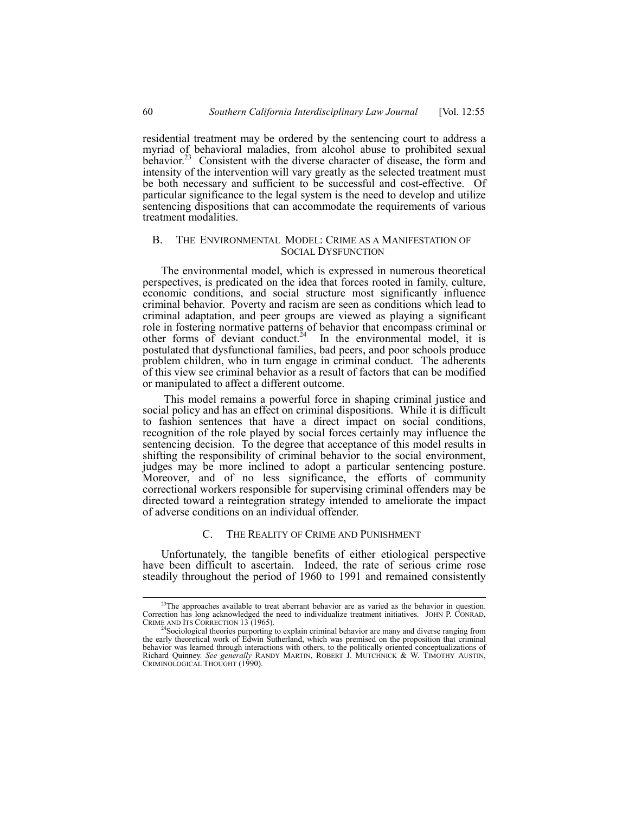residential treatment may be ordered by the sentencing court to address a myriad of behavioral maladies, from alcohol abuse to prohibited sexual behavior.<sup>23</sup> Consistent with the diverse character of disease, the form and intensity of the intervention will vary greatly as the selected treatment must be both necessary and sufficient to be successful and cost-effective. Of particular significance to the legal system is the need to develop and utilize sentencing dispositions that can accommodate the requirements of various treatment modalities.

## B. THE ENVIRONMENTAL MODEL: CRIME AS A MANIFESTATION OF SOCIAL DYSFUNCTION

The environmental model, which is expressed in numerous theoretical perspectives, is predicated on the idea that forces rooted in family, culture, economic conditions, and social structure most significantly influence criminal behavior. Poverty and racism are seen as conditions which lead to criminal adaptation, and peer groups are viewed as playing a significant role in fostering normative patterns of behavior that encompass criminal or other forms of deviant conduct.<sup>24</sup> In the environmental model, it is postulated that dysfunctional families, bad peers, and poor schools produce problem children, who in turn engage in criminal conduct. The adherents of this view see criminal behavior as a result of factors that can be modified or manipulated to affect a different outcome.

 This model remains a powerful force in shaping criminal justice and social policy and has an effect on criminal dispositions. While it is difficult to fashion sentences that have a direct impact on social conditions, recognition of the role played by social forces certainly may influence the sentencing decision. To the degree that acceptance of this model results in shifting the responsibility of criminal behavior to the social environment, judges may be more inclined to adopt a particular sentencing posture. Moreover, and of no less significance, the efforts of community correctional workers responsible for supervising criminal offenders may be directed toward a reintegration strategy intended to ameliorate the impact of adverse conditions on an individual offender.

#### C. THE REALITY OF CRIME AND PUNISHMENT

Unfortunately, the tangible benefits of either etiological perspective have been difficult to ascertain. Indeed, the rate of serious crime rose steadily throughout the period of 1960 to 1991 and remained consistently

<sup>&</sup>lt;sup>23</sup>The approaches available to treat aberrant behavior are as varied as the behavior in question.<br>Correction has long acknowledged the need to individualize treatment initiatives. JOHN P. CONRAD, CRIME AND ITS CORRECTION 13 (1965).<br><sup>24</sup>Sociological theories purporting to explain criminal behavior are many and diverse ranging from

the early theoretical work of Edwin Sutherland, which was premised on the proposition that criminal behavior was learned through interactions with others, to the politically oriented conceptualizations of Richard Quinney. *See generally* RANDY MARTIN, ROBERT J. MUTCHNICK & W. TIMOTHY AUSTIN, CRIMINOLOGICAL THOUGHT (1990).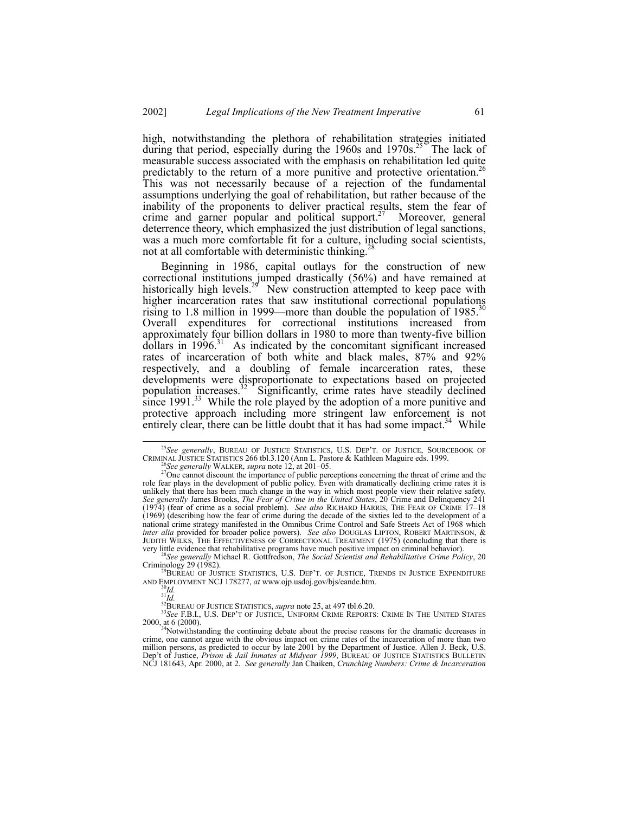high, notwithstanding the plethora of rehabilitation strategies initiated during that period, especially during the  $1960s$  and  $1970s$ <sup>25</sup>. The lack of measurable success associated with the emphasis on rehabilitation led quite predictably to the return of a more punitive and protective orientation.<sup>26</sup> This was not necessarily because of a rejection of the fundamental assumptions underlying the goal of rehabilitation, but rather because of the inability of the proponents to deliver practical results, stem the fear of crime and garner popular and political support.<sup>27</sup> Moreover, general deterrence theory, which emphasized the just distribution of legal sanctions, was a much more comfortable fit for a culture, including social scientists, not at all comfortable with deterministic thinking.<sup>26</sup>

Beginning in 1986, capital outlays for the construction of new correctional institutions jumped drastically (56%) and have remained at historically high levels.<sup>29</sup> New construction attempted to keep pace with higher incarceration rates that saw institutional correctional populations rising to 1.8 million in 1999—more than double the population of  $1985$ <sup>30</sup> Overall expenditures for correctional institutions increased from approximately four billion dollars in 1980 to more than twenty-five billion  $d$ ollars in 1996.<sup>31</sup> As indicated by the concomitant significant increased rates of incarceration of both white and black males, 87% and 92% respectively, and a doubling of female incarceration rates, these developments were disproportionate to expectations based on projected population increases.<sup>32</sup> Significantly, crime rates have steadily declined since  $1991<sup>33</sup>$  While the role played by the adoption of a more punitive and protective approach including more stringent law enforcement is not entirely clear, there can be little doubt that it has had some impact.<sup>34</sup> While

<sup>&</sup>lt;sup>25</sup>See generally, BUREAU OF JUSTICE STATISTICS, U.S. DEP'T. OF JUSTICE, SOURCEBOOK OF CRIMINAL JUSTICE STATISTICS 266 tbl.3.120 (Ann L. Pastore & Kathleen Maguire eds. 1999.

<sup>&</sup>lt;sup>26</sup>See generally WALKER, supra note 12, at 201–05.<br><sup>27</sup>One cannot discount the importance of public perceptions concerning the threat of crime and the role fear plays in the development of public policy. Even with dramatically declining crime rates it is unlikely that there has been much change in the way in which most people view their relative safety. *See generally* James Brooks, *The Fear of Crime in the United States*, 20 Crime and Delinquency 241 (1974) (fear of crime as a social problem). *See also* RICHARD HARRIS, THE FEAR OF CRIME 17-18 (1969) (describing how the fear of crime during the decade of the sixties led to the development of a national crime strategy manifested in the Omnibus Crime Control and Safe Streets Act of 1968 which *inter alia* provided for broader police powers). *See also* DOUGLAS LIPTON, ROBERT MARTINSON, & JUDITH WILKS, THE EFFECTIVENESS OF CORRECTIONAL TREATMENT (1975) (concluding that there is

very little evidence that rehabilitative programs have much positive impact on criminal behavior).<br><sup>28</sup>*See generally* Michael R. Gottfredson, *The Social Scientist and Rehabilitative Crime Policy*, 20<br>Criminal behavior).

 $^{29}$ BUREAU OF JUSTICE STATISTICS, U.S. DEP<sup>7</sup>T. OF JUSTICE, TRENDS IN JUSTICE EXPENDITURE AND EMPLOYMENT NCJ 178277, at www.ojp.usdoj.gov/bjs/eande.htm.

<sup>&</sup>lt;sup>30</sup>Id.<br><sup>31</sup>Id.<br><sup>32</sup>BUREAU OF JUSTICE STATISTICS, *supra* note 25, at 497 tbl.6.20.<br><sup>32</sup>BUREAU OF JUSTICE STATISTICE, UNIFORM CRIME REPORTS: CRIME IN THE UNITED STATES<br>2000, at 6 (2000).

<sup>&</sup>lt;sup>4</sup>Notwithstanding the continuing debate about the precise reasons for the dramatic decreases in crime, one cannot argue with the obvious impact on crime rates of the incarceration of more than two million persons, as predicted to occur by late 2001 by the Department of Justice. Allen J. Beck, U.S. Depít of Justice, *Prison & Jail Inmates at Midyear 1999*, BUREAU OF JUSTICE STATISTICS BULLETIN NCJ 181643, Apr. 2000, at 2. *See generally* Jan Chaiken, *Crunching Numbers: Crime & Incarceration*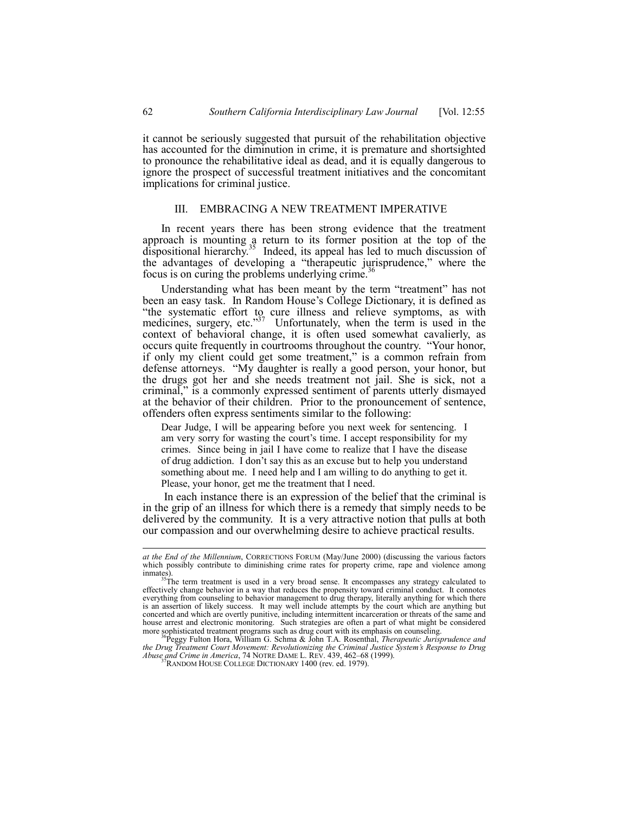it cannot be seriously suggested that pursuit of the rehabilitation objective has accounted for the diminution in crime, it is premature and shortsighted to pronounce the rehabilitative ideal as dead, and it is equally dangerous to ignore the prospect of successful treatment initiatives and the concomitant implications for criminal justice.

## III. EMBRACING A NEW TREATMENT IMPERATIVE

In recent years there has been strong evidence that the treatment approach is mounting a return to its former position at the top of the dispositional hierarchy.<sup>35</sup> Indeed, its appeal has led to much discussion of the advantages of developing a "therapeutic jurisprudence," where the focus is on curing the problems underlying crime.<sup>36</sup>

Understanding what has been meant by the term "treatment" has not been an easy task. In Random House's College Dictionary, it is defined as "the systematic effort to cure illness and relieve symptoms, as with medicines, surgery, etc. $337$  Unfortunately, when the term is used in the context of behavioral change, it is often used somewhat cavalierly, as occurs quite frequently in courtrooms throughout the country. "Your honor, if only my client could get some treatment," is a common refrain from defense attorneys. "My daughter is really a good person, your honor, but the drugs got her and she needs treatment not jail. She is sick, not a criminal," is a commonly expressed sentiment of parents utterly dismayed at the behavior of their children. Prior to the pronouncement of sentence, offenders often express sentiments similar to the following:

Dear Judge, I will be appearing before you next week for sentencing. I am very sorry for wasting the court's time. I accept responsibility for my crimes. Since being in jail I have come to realize that I have the disease of drug addiction. I don't say this as an excuse but to help you understand something about me. I need help and I am willing to do anything to get it. Please, your honor, get me the treatment that I need.

 In each instance there is an expression of the belief that the criminal is in the grip of an illness for which there is a remedy that simply needs to be delivered by the community. It is a very attractive notion that pulls at both our compassion and our overwhelming desire to achieve practical results.

l

*at the End of the Millennium*, CORRECTIONS FORUM (May/June 2000) (discussing the various factors which possibly contribute to diminishing crime rates for property crime, rape and violence among

inmates).<br><sup>35</sup>The term treatment is used in a very broad sense. It encompasses any strategy calculated to<br>effectively change behavior in a way that reduces the propensity toward criminal conduct. It connotes effectively change behavior in a way that reduces the propensity toward criminal conduct. It connotes everything from counseling to behavior management to drug therapy, literally anything for which there is an assertion of likely success. It may well include attempts by the court which are anything but concerted and which are overtly punitive, including intermittent incarceration or threats of the same and house arrest and electronic monitoring. Such strategies are often a part of what might be considered more sophisticated treatment programs such as drug court with its emphasis on counseling. 36Peggy Fulton Hora, William G. Schma & John T.A. Rosenthal, *Therapeutic Jurisprudence and*

*the Drug Treatment Court Movement: Revolutionizing the Criminal Justice Systemís Response to Drug Abuse and Crime in America*, 74 NOTRE DAME L. REV. 439, 462–68 (1999).<br><sup>37</sup>RANDOM HOUSE COLLEGE DICTIONARY 1400 (rev. ed. 1979).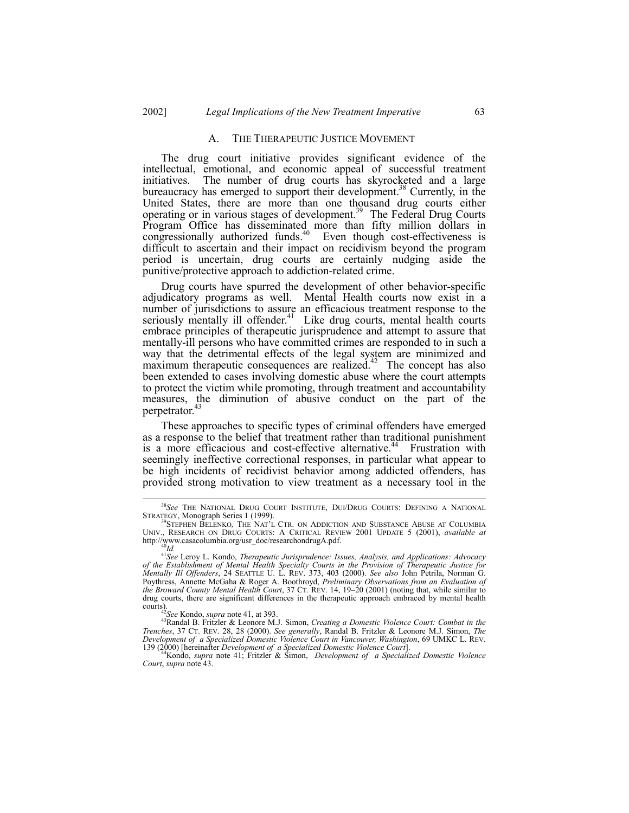## A. THE THERAPEUTIC JUSTICE MOVEMENT

The drug court initiative provides significant evidence of the intellectual, emotional, and economic appeal of successful treatment initiatives. The number of drug courts has skyrocketed and a large bureaucracy has emerged to support their development.<sup>38</sup> Currently, in the United States, there are more than one thousand drug courts either operating or in various stages of development.39 The Federal Drug Courts Program Office has disseminated more than fifty million dollars in congressionally authorized funds. $40$  Even though cost-effectiveness is difficult to ascertain and their impact on recidivism beyond the program period is uncertain, drug courts are certainly nudging aside the punitive/protective approach to addiction-related crime.

Drug courts have spurred the development of other behavior-specific adjudicatory programs as well. Mental Health courts now exist in a number of jurisdictions to assure an efficacious treatment response to the seriously mentally ill offender.<sup>41</sup> Like drug courts, mental health courts embrace principles of therapeutic jurisprudence and attempt to assure that mentally-ill persons who have committed crimes are responded to in such a way that the detrimental effects of the legal system are minimized and maximum therapeutic consequences are realized.<sup>42</sup> The concept has also been extended to cases involving domestic abuse where the court attempts to protect the victim while promoting, through treatment and accountability measures, the diminution of abusive conduct on the part of the perpetrator.<sup>43</sup>

These approaches to specific types of criminal offenders have emerged as a response to the belief that treatment rather than traditional punishment is a more efficacious and cost-effective alternative.<sup>44</sup> Frustration with seemingly ineffective correctional responses, in particular what appear to be high incidents of recidivist behavior among addicted offenders, has provided strong motivation to view treatment as a necessary tool in the

 <sup>38</sup>*See* THE NATIONAL DRUG COURT INSTITUTE, DUI/DRUG COURTS: DEFINING A NATIONAL STRATEGY, Monograph Series 1 (1999).<br><sup>39</sup>STEPHEN BELENKO, *THE NAT'L CTR. ON ADDICTION AND SUBSTANCE ABUSE AT COLUMBIA* 

UNIV., RESEARCH ON DRUG COURTS: A CRITICAL REVIEW 2001 UPDATE 5 (2001), *available at* http://www.casacolumbia.org/usr\_doc/researchondrugA.pdf.<br><sup>41</sup>*See* Leroy L. Kondo, *Therapeutic Jurisprudence: Issues, Analysis, and Applications: Advocacy* 

*of the Establishment of Mental Health Specialty Courts in the Provision of Therapeutic Justice for Mentally Ill Offenders*, 24 SEATTLE U. L. REV. 373, 403 (2000). *See also* John Petrila, Norman G. Poythress, Annette McGaha & Roger A. Boothroyd, *Preliminary Observations from an Evaluation of the Broward County Mental Health Court*, 37 CT. REV. 14, 19–20 (2001) (noting that, while similar to drug courts, there are significant differences in the therapeutic approach embraced by mental health courts).<br><sup>42</sup>*See* Kondo, *supra* note 41, at 393.<br><sup>43</sup>Randal B. Fritzler & Leonore M.J. Simon, *Creating a Domestic Violence Court: Combat in the* 

*Trenches*, 37 CT. REV. 28, 28 (2000). *See generally*, Randal B. Fritzler & Leonore M.J. Simon, *The Development of a Specialized Domestic Violence Court in Vancouver, Washington*, 69 UMKC L. REV. 139 (2000) [hereinafter *Development of a Specialized Domestic Violence Court*]. 44Kondo, *supra* note 41; Fritzler & Simon, *Development of a Specialized Domestic Violence*

*Court*, *supra* note 43.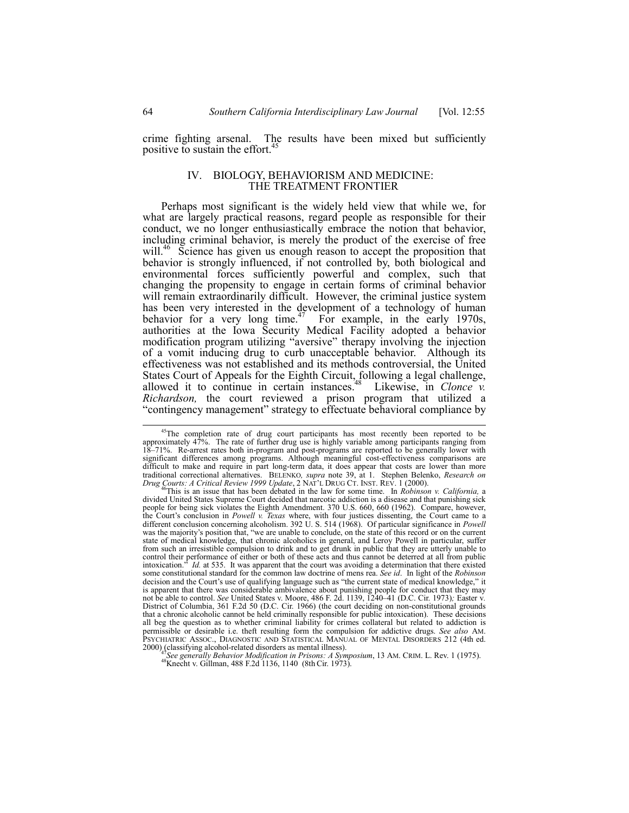crime fighting arsenal. The results have been mixed but sufficiently positive to sustain the effort.<sup>45</sup>

# IV. BIOLOGY, BEHAVIORISM AND MEDICINE: THE TREATMENT FRONTIER

Perhaps most significant is the widely held view that while we, for what are largely practical reasons, regard people as responsible for their conduct, we no longer enthusiastically embrace the notion that behavior, including criminal behavior, is merely the product of the exercise of free will.<sup>46</sup> Science has given us enough reason to accept the proposition that behavior is strongly influenced, if not controlled by, both biological and environmental forces sufficiently powerful and complex, such that changing the propensity to engage in certain forms of criminal behavior will remain extraordinarily difficult. However, the criminal justice system has been very interested in the development of a technology of human behavior for a very long time.<sup>47</sup> For example, in the early 1970s, authorities at the Iowa Security Medical Facility adopted a behavior modification program utilizing "aversive" therapy involving the injection of a vomit inducing drug to curb unacceptable behavior. Although its effectiveness was not established and its methods controversial, the United States Court of Appeals for the Eighth Circuit, following a legal challenge, allowed it to continue in certain instances.<sup>48</sup> Likewise, in *Clonce v. Richardson,* the court reviewed a prison program that utilized a "contingency management" strategy to effectuate behavioral compliance by

<sup>47</sup>See generally Behavior Modification in Prisons: A Symposium, 13 AM. CRIM. L. Rev. 1 (1975). <sup>48</sup>Knecht v. Gillman, 488 F.2d 1136, 1140 (8th Cir. 1973).

<sup>&</sup>lt;sup>45</sup>The completion rate of drug court participants has most recently been reported to be approximately 47%. The rate of further drug use is highly variable among participants ranging from 18–71%. Re-arrest rates both in-program and post-programs are reported to be generally lower with significant differences among programs. Although meaningful cost-effectiveness comparisons are difficult to make and require in part long-term data, it does appear that costs are lower than more traditional correctional alternatives. BELENKO*, supra* note 39, at 1. Stephen Belenko, *Research on*

Drug Courts: A Critical Review 1999 Update, 2 NAT'L DRUG CT. INST. REV. 1 (2000).<br><sup>46</sup>This is an issue that has been debated in the law for some time. In *Robinson v. California*, a divided United States Supreme Court deci divided United States Supreme Court decided that narcotic addiction is a disease and that punishing sick<br>people for being sick violates the Eighth Amendment. 370 U.S. 660, 660 (1962). Compare, however, the Court's conclusion in *Powell v. Texas* where, with four justices dissenting, the Court came to a different conclusion concerning alcoholism. 392 U. S. 514 (1968). Of particular significance in *Powell* was the majority's position that, "we are unable to conclude, on the state of this record or on the current state of medical knowledge, that chronic alcoholics in general, and Leroy Powell in particular, suffer from such an irresistible compulsion to drink and to get drunk in public that they are utterly unable to control their performance of either or both of these acts and thus cannot be deterred at all from public intoxication.î *Id.* at 535. It was apparent that the court was avoiding a determination that there existed some constitutional standard for the common law doctrine of mens rea. *See id*. In light of the *Robinson* decision and the Court's use of qualifying language such as "the current state of medical knowledge," it is apparent that there was considerable ambivalence about punishing people for conduct that they may not be able to control. *See* United States v. Moore, 486 F. 2d. 1139, 1240–41 (D.C. Cir. 1973); Easter v. District of Columbia, 361 F.2d 50 (D.C. Cir. 1966) (the court deciding on non-constitutional grounds that a chronic alcoholic cannot be held criminally responsible for public intoxication). These decisions all beg the question as to whether criminal liability for crimes collateral but related to addiction is permissible or desirable i.e. theft resulting form the compulsion for addictive drugs. *See also* AM. PSYCHIATRIC ASSOC., DIAGNOSTIC AND STATISTICAL MANUAL OF MENTAL DISORDERS 212 (4th ed. 2000), classifying alcohol-relate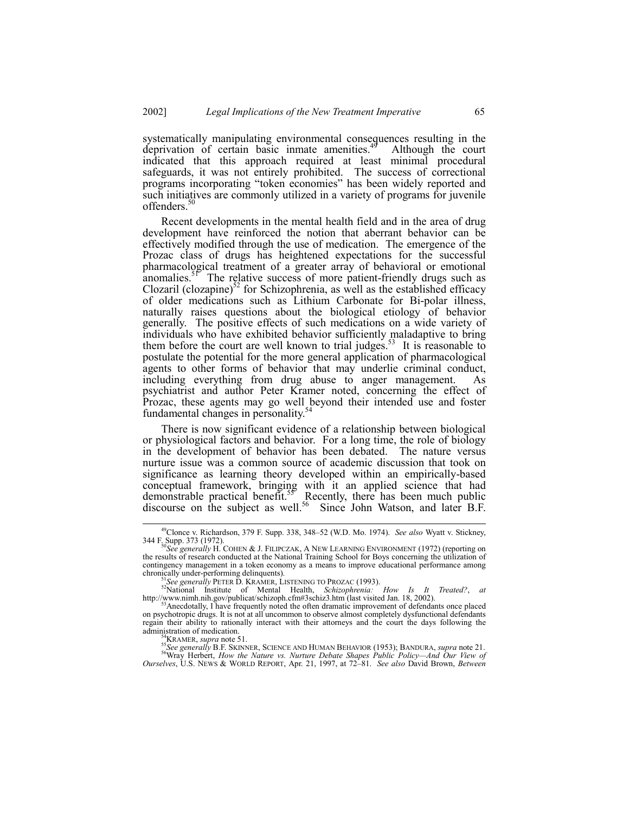systematically manipulating environmental consequences resulting in the deprivation of certain basic inmate amenities. $49$  Although the court indicated that this approach required at least minimal procedural safeguards, it was not entirely prohibited. The success of correctional programs incorporating "token economies" has been widely reported and such initiatives are commonly utilized in a variety of programs for juvenile offenders.<sup>50</sup>

Recent developments in the mental health field and in the area of drug development have reinforced the notion that aberrant behavior can be effectively modified through the use of medication. The emergence of the Prozac class of drugs has heightened expectations for the successful pharmacological treatment of a greater array of behavioral or emotional anomalies. $5\text{F}$  The relative success of more patient-friendly drugs such as Clozaril (clozapine)<sup>52</sup> for Schizophrenia, as well as the established efficacy of older medications such as Lithium Carbonate for Bi-polar illness, naturally raises questions about the biological etiology of behavior generally. The positive effects of such medications on a wide variety of individuals who have exhibited behavior sufficiently maladaptive to bring them before the court are well known to trial judges.<sup>53</sup> It is reasonable to postulate the potential for the more general application of pharmacological agents to other forms of behavior that may underlie criminal conduct, including everything from drug abuse to anger management. As psychiatrist and author Peter Kramer noted, concerning the effect of Prozac, these agents may go well beyond their intended use and foster fundamental changes in personality.<sup>5</sup>

There is now significant evidence of a relationship between biological or physiological factors and behavior. For a long time, the role of biology in the development of behavior has been debated. The nature versus nurture issue was a common source of academic discussion that took on significance as learning theory developed within an empirically-based conceptual framework, bringing with it an applied science that had demonstrable practical benefit.<sup>55</sup> Recently, there has been much public discourse on the subject as well.<sup>56</sup> Since John Watson, and later B.F.

<sup>54</sup>KRAMER, *supra* note 51.<br><sup>55</sup>See generally B.F. SKINNER, SCIENCE AND HUMAN BEHAVIOR (1953); BANDURA, *supra* note 21.<br><sup>56</sup>Wray Herbert, *How the Nature vs. Nurture Debate Shapes Public Policy—And Our View of Ourselves*, U.S. NEWS & WORLD REPORT, Apr. 21, 1997, at 72-81. *See also* David Brown, *Between* 

<sup>&</sup>lt;sup>49</sup>Clonce v. Richardson, 379 F. Supp. 338, 348–52 (W.D. Mo. 1974). *See also* Wyatt v. Stickney, 344 F. Supp. 373 (1972). <sup>50</sup>*See generally* H. COHEN & J. FILIPCZAK, A NEW LEARNING ENVIRONMENT (1972) (reporting on

the results of research conducted at the National Training School for Boys concerning the utilization of contingency management in a token economy as a means to improve educational performance among chronically under-performing delinquents). chronically under-performing delinquents).<br><sup>51</sup>*See generally* PETER D. KRAMER, LISTENING TO PROZAC (1993).<br><sup>52</sup>National Institute of Mental Health, *Schizophrenia: How Is It Treated?*, *at* 

http://www.nimh.nih.gov/publicat/schizoph.cfm#3schiz3.htm (last visited Jan. 18, 2002).<br><sup>53</sup>Anecdotally, I have frequently noted the often dramatic improvement of defendants once placed

on psychotropic drugs. It is not at all uncommon to observe almost completely dysfunctional defendants regain their ability to rationally interact with their attorneys and the court the days following the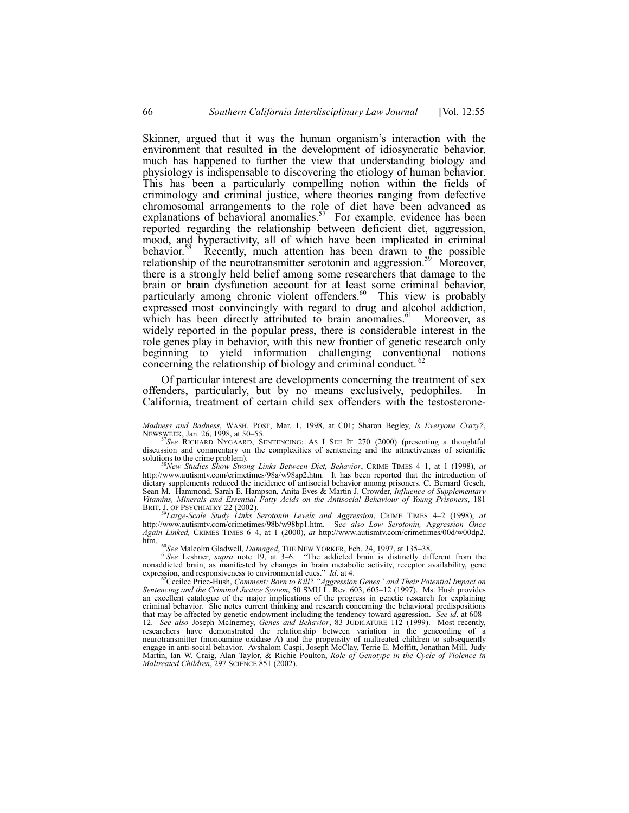Skinner, argued that it was the human organism's interaction with the environment that resulted in the development of idiosyncratic behavior, much has happened to further the view that understanding biology and physiology is indispensable to discovering the etiology of human behavior. This has been a particularly compelling notion within the fields of criminology and criminal justice, where theories ranging from defective chromosomal arrangements to the role of diet have been advanced as explanations of behavioral anomalies.<sup>57</sup> For example, evidence has been reported regarding the relationship between deficient diet, aggression, mood, and hyperactivity, all of which have been implicated in criminal behavior.<sup>58</sup> Recently, much attention has been drawn to the possible relationship of the neurotransmitter serotonin and aggression.<sup>59</sup> Moreover, there is a strongly held belief among some researchers that damage to the brain or brain dysfunction account for at least some criminal behavior, particularly among chronic violent offenders.<sup>60</sup> This view is probably expressed most convincingly with regard to drug and alcohol addiction, which has been directly attributed to brain anomalies.<sup>61</sup> Moreover, as widely reported in the popular press, there is considerable interest in the role genes play in behavior, with this new frontier of genetic research only beginning to yield information challenging conventional notions concerning the relationship of biology and criminal conduct.

Of particular interest are developments concerning the treatment of sex offenders, particularly, but by no means exclusively, pedophiles. In California, treatment of certain child sex offenders with the testosterone-

http://www.autismtv.com/crimetimes/98b/w98bp1.htm. S*ee also Low Serotonin,* A*ggression Once Again Linked,* CRIMES TIMES 6–4, at 1 (2000), *at* http://www.autismtv.com/crimetimes/00d/w00dp2.<br>htm.

<sup>60</sup>See Malcolm Gladwell, *Damaged*, THE NEW YORKER, Feb. 24, 1997, at 135–38. <sup>61</sup>See Leshner, *supra* note 19, at 3–6. <sup>*i*The addicted brain is distinctly different from the</sup> nonaddicted brain, as manifested by changes in brain metabolic activity, receptor availability, gene

expression, and responsiveness to environmental cues." *Id.* at 4.<br><sup>62</sup>Cecilee Price-Hush, Comment: *Born to Kill? "Aggression Genes" and Their Potential Impact on*<br>*Sentencing and the Criminal Justice System, 50 SMU L. Re* an excellent catalogue of the major implications of the progress in genetic research for explaining criminal behavior. She notes current thinking and research concerning the behavioral predispositions that may be affected by genetic endowment including the tendency toward aggression. *See id.* at 608– 12. *See also* Joseph McInerney, *Genes and Behavior*, 83 JUDICATURE 112 (1999). Most recently, researchers have demonstrated the relationship between variation in the genecoding of a neurotransmitter (monoamine oxidase A) and the propensity of maltreated children to subsequently engage in anti-social behavior. Avshalom Caspi, Joseph McClay, Terrie E. Moffitt, Jonathan Mill, Judy Martin, Ian W. Craig, Alan Taylor, & Richie Poulton, *Role of Genotype in the Cycle of Violence in Maltreated Children*, 297 SCIENCE 851 (2002).

l

*Madness and Badness*, WASH. POST, Mar. 1, 1998, at C01; Sharon Begley, *Is Everyone Crazy?*,

NEWSWEEK, Jan. 26, 1998, at 50ñ55. <sup>57</sup>*See* RICHARD NYGAARD, SENTENCING: AS I SEE IT 270 (2000) (presenting a thoughtful discussion and commentary on the complexities of sentencing and the attractiveness of scientific solutions to the crime problem). solutions to the crime problem).<br><sup>58</sup>*New Studies Show Strong Links Between Diet, Behavior*, CRIME TIMES 4–1, at 1 (1998), *at* 

http://www.autismtv.com/crimetimes/98a/w98ap2.htm. It has been reported that the introduction of dietary supplements reduced the incidence of antisocial behavior among prisoners. C. Bernard Gesch, Sean M. Hammond, Sarah E. Hampson, Anita Eves & Martin J. Crowder, *Influence of Supplementary Vitamins, Minerals and Essential Fatty Acids on the Antisocial Behaviour of Young Prisoners*, 181 BRIT. J. OF PSYCHIATRY 22 (2002).<br><sup>59</sup>Large-Scale Study Links Serotonin Levels and Aggression, CRIME TIMES 4–2 (1998), at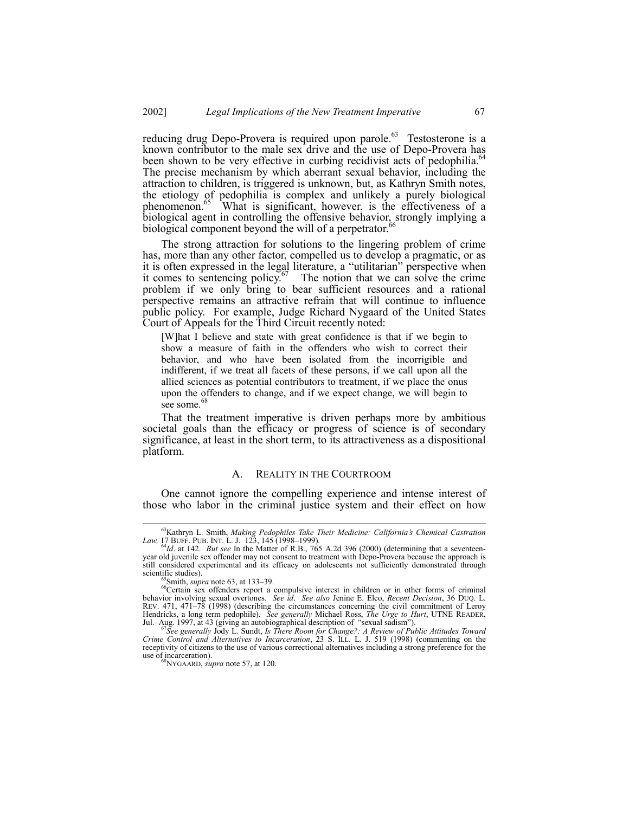reducing drug Depo-Provera is required upon parole. $^{63}$  Testosterone is a known contributor to the male sex drive and the use of Depo-Provera has been shown to be very effective in curbing recidivist acts of pedophilia.<sup>64</sup> The precise mechanism by which aberrant sexual behavior, including the attraction to children, is triggered is unknown, but, as Kathryn Smith notes, the etiology of pedophilia is complex and unlikely a purely biological phenomenon.<sup>65</sup> What is significant, however, is the effectiveness of a biological agent in controlling the offensive behavior, strongly implying a biological component beyond the will of a perpetrator.<sup>6</sup>

The strong attraction for solutions to the lingering problem of crime has, more than any other factor, compelled us to develop a pragmatic, or as it is often expressed in the legal literature, a "utilitarian" perspective when it comes to sentencing policy.<sup>67</sup> The notion that we can solve the crime The notion that we can solve the crime. problem if we only bring to bear sufficient resources and a rational perspective remains an attractive refrain that will continue to influence public policy. For example, Judge Richard Nygaard of the United States Court of Appeals for the Third Circuit recently noted:

[W]hat I believe and state with great confidence is that if we begin to show a measure of faith in the offenders who wish to correct their behavior, and who have been isolated from the incorrigible and indifferent, if we treat all facets of these persons, if we call upon all the allied sciences as potential contributors to treatment, if we place the onus upon the offenders to change, and if we expect change, we will begin to see some.<sup>68</sup>

That the treatment imperative is driven perhaps more by ambitious societal goals than the efficacy or progress of science is of secondary significance, at least in the short term, to its attractiveness as a dispositional platform.

## A. REALITY IN THE COURTROOM

One cannot ignore the compelling experience and intense interest of those who labor in the criminal justice system and their effect on how

 <sup>63</sup>Kathryn L. Smith, *Making Pedophiles Take Their Medicine: Californiaís Chemical Castration Law,* 17 BUFF. PUB. INT. L. J. 123, 145 (1998–1999). **64**<br><sup>64</sup>*Id.* at 142. *But see* In the Matter of R.B., 765 A.2d 396 (2000) (determining that a seventeen-

year old juvenile sex offender may not consent to treatment with Depo-Provera because the approach is still considered experimental and its efficacy on adolescents not sufficiently demonstrated through scientific studies).

<sup>&</sup>lt;sup>65</sup>Smith, *supra* note 63, at 133–39.<br><sup>66</sup>Certain sex offenders report a compulsive interest in children or in other forms of criminal behavior involving sexual overtones. *See id*. *See also* Jenine E. Elco, *Recent Decision*, 36 DUQ. L. REV.  $471$ ,  $471-78$  (1998) (describing the circumstances concerning the civil commitment of Leroy Hendricks, a long term pedophile). See generally Michael Ross, The Urge to Hurt, UTNE READER,<br>Jul.–Aug. 1997, at 43 (giving an autobiographical description of "sexual sadism").<br>See generally Jody L. Sundt, Is There Room fo

*Crime Control and Alternatives to Incarceration*, 23 S. ILL. L. J. 519 (1998) (commenting on the receptivity of citizens to the use of various correctional alternatives including a strong preference for the use of incarceration). 68NYGAARD, *supra* note 57, at 120.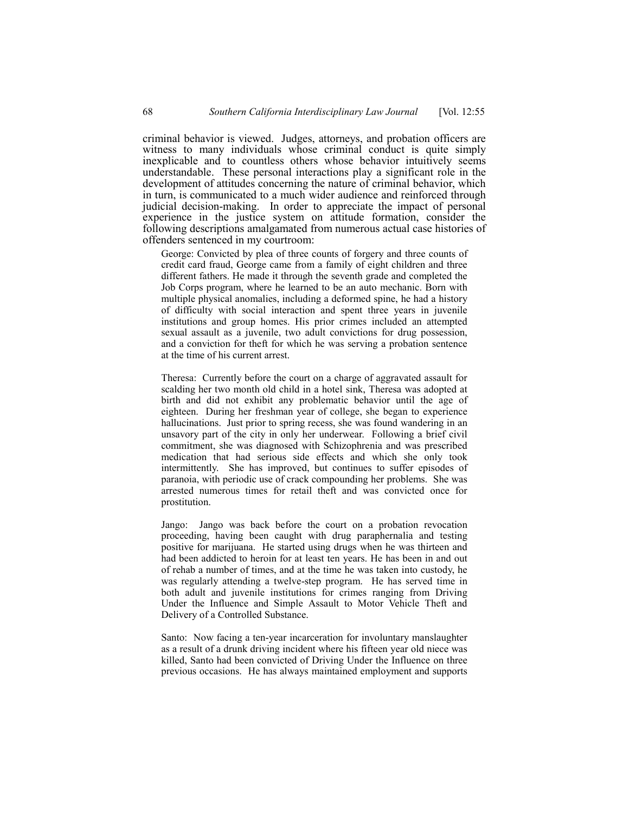criminal behavior is viewed. Judges, attorneys, and probation officers are witness to many individuals whose criminal conduct is quite simply inexplicable and to countless others whose behavior intuitively seems understandable. These personal interactions play a significant role in the development of attitudes concerning the nature of criminal behavior, which in turn, is communicated to a much wider audience and reinforced through judicial decision-making. In order to appreciate the impact of personal experience in the justice system on attitude formation, consider the following descriptions amalgamated from numerous actual case histories of offenders sentenced in my courtroom:

George: Convicted by plea of three counts of forgery and three counts of credit card fraud, George came from a family of eight children and three different fathers. He made it through the seventh grade and completed the Job Corps program, where he learned to be an auto mechanic. Born with multiple physical anomalies, including a deformed spine, he had a history of difficulty with social interaction and spent three years in juvenile institutions and group homes. His prior crimes included an attempted sexual assault as a juvenile, two adult convictions for drug possession, and a conviction for theft for which he was serving a probation sentence at the time of his current arrest.

Theresa: Currently before the court on a charge of aggravated assault for scalding her two month old child in a hotel sink, Theresa was adopted at birth and did not exhibit any problematic behavior until the age of eighteen. During her freshman year of college, she began to experience hallucinations. Just prior to spring recess, she was found wandering in an unsavory part of the city in only her underwear. Following a brief civil commitment, she was diagnosed with Schizophrenia and was prescribed medication that had serious side effects and which she only took intermittently. She has improved, but continues to suffer episodes of paranoia, with periodic use of crack compounding her problems. She was arrested numerous times for retail theft and was convicted once for prostitution.

Jango: Jango was back before the court on a probation revocation proceeding, having been caught with drug paraphernalia and testing positive for marijuana. He started using drugs when he was thirteen and had been addicted to heroin for at least ten years. He has been in and out of rehab a number of times, and at the time he was taken into custody, he was regularly attending a twelve-step program. He has served time in both adult and juvenile institutions for crimes ranging from Driving Under the Influence and Simple Assault to Motor Vehicle Theft and Delivery of a Controlled Substance.

Santo: Now facing a ten-year incarceration for involuntary manslaughter as a result of a drunk driving incident where his fifteen year old niece was killed, Santo had been convicted of Driving Under the Influence on three previous occasions. He has always maintained employment and supports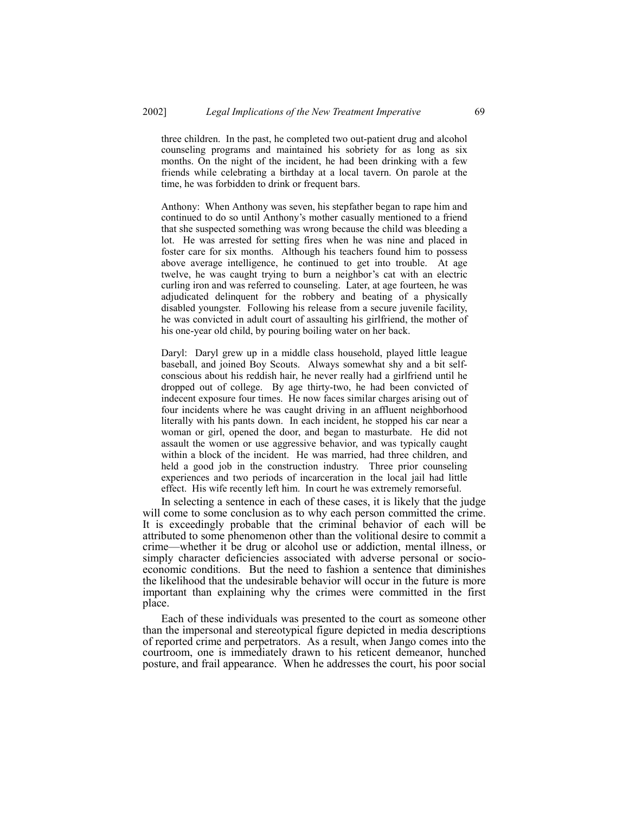three children. In the past, he completed two out-patient drug and alcohol counseling programs and maintained his sobriety for as long as six months. On the night of the incident, he had been drinking with a few friends while celebrating a birthday at a local tavern. On parole at the time, he was forbidden to drink or frequent bars.

Anthony: When Anthony was seven, his stepfather began to rape him and continued to do so until Anthony's mother casually mentioned to a friend that she suspected something was wrong because the child was bleeding a lot. He was arrested for setting fires when he was nine and placed in foster care for six months. Although his teachers found him to possess above average intelligence, he continued to get into trouble. At age twelve, he was caught trying to burn a neighbor's cat with an electric curling iron and was referred to counseling. Later, at age fourteen, he was adjudicated delinquent for the robbery and beating of a physically disabled youngster. Following his release from a secure juvenile facility, he was convicted in adult court of assaulting his girlfriend, the mother of his one-year old child, by pouring boiling water on her back.

Daryl: Daryl grew up in a middle class household, played little league baseball, and joined Boy Scouts. Always somewhat shy and a bit selfconscious about his reddish hair, he never really had a girlfriend until he dropped out of college. By age thirty-two, he had been convicted of indecent exposure four times. He now faces similar charges arising out of four incidents where he was caught driving in an affluent neighborhood literally with his pants down. In each incident, he stopped his car near a woman or girl, opened the door, and began to masturbate. He did not assault the women or use aggressive behavior, and was typically caught within a block of the incident. He was married, had three children, and held a good job in the construction industry. Three prior counseling experiences and two periods of incarceration in the local jail had little effect. His wife recently left him. In court he was extremely remorseful.

In selecting a sentence in each of these cases, it is likely that the judge will come to some conclusion as to why each person committed the crime. It is exceedingly probable that the criminal behavior of each will be attributed to some phenomenon other than the volitional desire to commit a crime—whether it be drug or alcohol use or addiction, mental illness, or simply character deficiencies associated with adverse personal or socioeconomic conditions. But the need to fashion a sentence that diminishes the likelihood that the undesirable behavior will occur in the future is more important than explaining why the crimes were committed in the first place.

Each of these individuals was presented to the court as someone other than the impersonal and stereotypical figure depicted in media descriptions of reported crime and perpetrators. As a result, when Jango comes into the courtroom, one is immediately drawn to his reticent demeanor, hunched posture, and frail appearance. When he addresses the court, his poor social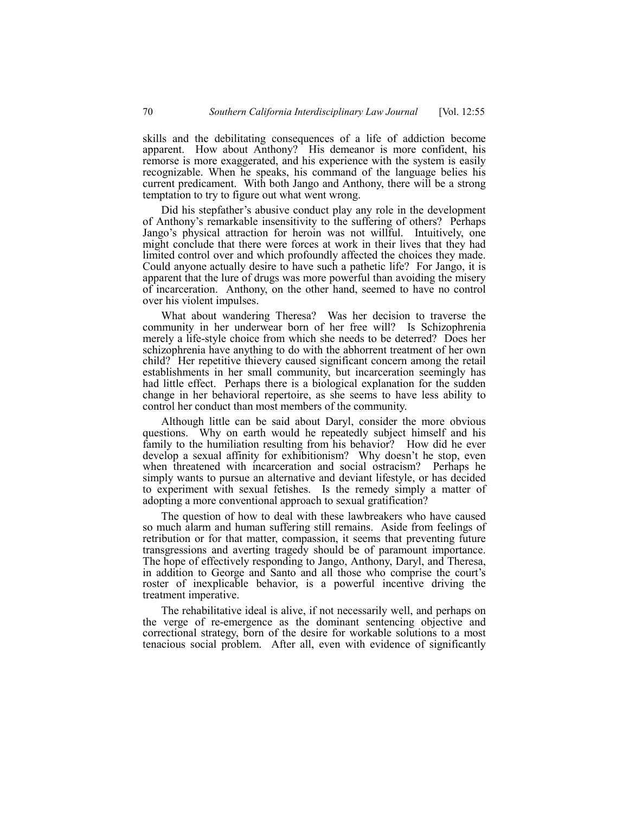skills and the debilitating consequences of a life of addiction become apparent. How about Anthony? His demeanor is more confident, his remorse is more exaggerated, and his experience with the system is easily recognizable. When he speaks, his command of the language belies his current predicament. With both Jango and Anthony, there will be a strong temptation to try to figure out what went wrong.

Did his stepfather's abusive conduct play any role in the development of Anthonyís remarkable insensitivity to the suffering of others? Perhaps Jangoís physical attraction for heroin was not willful. Intuitively, one might conclude that there were forces at work in their lives that they had limited control over and which profoundly affected the choices they made. Could anyone actually desire to have such a pathetic life? For Jango, it is apparent that the lure of drugs was more powerful than avoiding the misery of incarceration. Anthony, on the other hand, seemed to have no control over his violent impulses.

What about wandering Theresa? Was her decision to traverse the community in her underwear born of her free will? Is Schizophrenia merely a life-style choice from which she needs to be deterred? Does her schizophrenia have anything to do with the abhorrent treatment of her own child? Her repetitive thievery caused significant concern among the retail establishments in her small community, but incarceration seemingly has had little effect. Perhaps there is a biological explanation for the sudden change in her behavioral repertoire, as she seems to have less ability to control her conduct than most members of the community.

Although little can be said about Daryl, consider the more obvious questions. Why on earth would he repeatedly subject himself and his family to the humiliation resulting from his behavior? How did he ever develop a sexual affinity for exhibitionism? Why doesn't he stop, even when threatened with incarceration and social ostracism? Perhaps he simply wants to pursue an alternative and deviant lifestyle, or has decided to experiment with sexual fetishes. Is the remedy simply a matter of adopting a more conventional approach to sexual gratification?

The question of how to deal with these lawbreakers who have caused so much alarm and human suffering still remains. Aside from feelings of retribution or for that matter, compassion, it seems that preventing future transgressions and averting tragedy should be of paramount importance. The hope of effectively responding to Jango, Anthony, Daryl, and Theresa, in addition to George and Santo and all those who comprise the court's roster of inexplicable behavior, is a powerful incentive driving the treatment imperative.

The rehabilitative ideal is alive, if not necessarily well, and perhaps on the verge of re-emergence as the dominant sentencing objective and correctional strategy, born of the desire for workable solutions to a most tenacious social problem. After all, even with evidence of significantly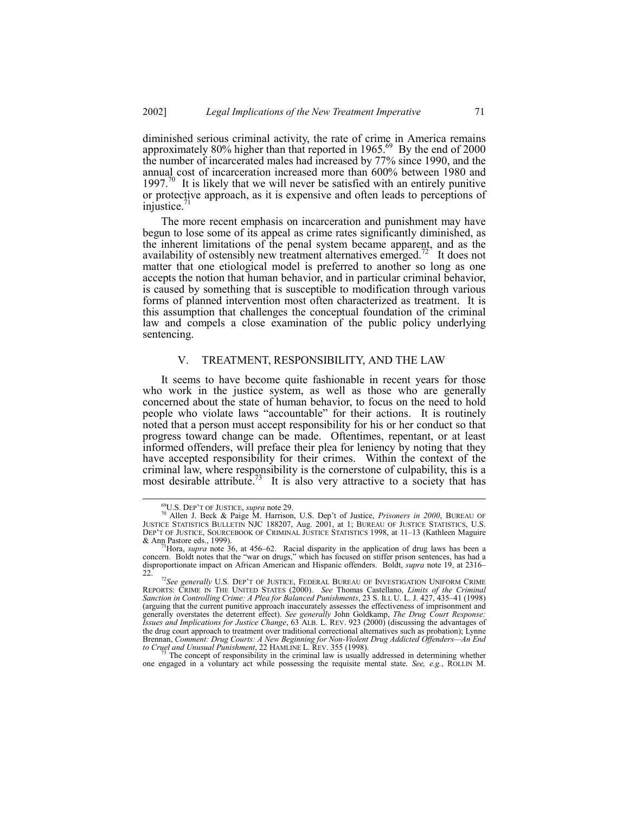diminished serious criminal activity, the rate of crime in America remains approximately 80% higher than that reported in 1965. $^{69}$  By the end of 2000 the number of incarcerated males had increased by 77% since 1990, and the annual cost of incarceration increased more than 600% between 1980 and 1997. $70$  It is likely that we will never be satisfied with an entirely punitive or protective approach, as it is expensive and often leads to perceptions of injustice.<sup>7</sup>

The more recent emphasis on incarceration and punishment may have begun to lose some of its appeal as crime rates significantly diminished, as the inherent limitations of the penal system became apparent, and as the availability of ostensibly new treatment alternatives emerged.<sup>72</sup> It does not matter that one etiological model is preferred to another so long as one accepts the notion that human behavior, and in particular criminal behavior, is caused by something that is susceptible to modification through various forms of planned intervention most often characterized as treatment. It is this assumption that challenges the conceptual foundation of the criminal law and compels a close examination of the public policy underlying sentencing.

## V. TREATMENT, RESPONSIBILITY, AND THE LAW

It seems to have become quite fashionable in recent years for those who work in the justice system, as well as those who are generally concerned about the state of human behavior, to focus on the need to hold people who violate laws "accountable" for their actions. It is routinely noted that a person must accept responsibility for his or her conduct so that progress toward change can be made. Oftentimes, repentant, or at least informed offenders, will preface their plea for leniency by noting that they have accepted responsibility for their crimes. Within the context of the criminal law, where responsibility is the cornerstone of culpability, this is a most desirable attribute.<sup>73</sup> It is also very attractive to a society that has

<sup>73</sup> The concept of responsibility in the criminal law is usually addressed in determining whether one engaged in a voluntary act while possessing the requisite mental state. *See, e.g.*, ROLLIN M.

<sup>&</sup>lt;sup>69</sup>U.S. DEP'T OF JUSTICE, *supra* note 29.<br><sup>70</sup> Allen J. Beck & Paige M. Harrison, U.S. Dep't of Justice, *Prisoners in 2000*, BUREAU OF JUSTICE STATISTICS BULLETIN NJC 188207, Aug. 2001, at 1; BUREAU OF JUSTICE STATISTICS, U.S. DEP'T OF JUSTICE, SOURCEBOOK OF CRIMINAL JUSTICE STATISTICS 1998, at 11–13 (Kathleen Maguire & Ann Pastore eds., 1999). & Ann Pastore eds., 1999).<br><sup>71</sup>Hora, *supra* note 36, at 456–62. Racial disparity in the application of drug laws has been a

concern. Boldt notes that the "war on drugs," which has focused on stiffer prison sentences, has had a disproportionate impact on African American and Hispanic offenders. Boldt, *supra* note 19, at 2316–22

<sup>&</sup>lt;sup>72</sup>See generally U.S. DEP'T OF JUSTICE, FEDERAL BUREAU OF INVESTIGATION UNIFORM CRIME REPORTS: CRIME IN THE UNITED STATES (2000). *See* Thomas Castellano, *Limits of the Criminal Sanction in Controlling Crime: A Plea for Balanced Punishments*, 23 S. ILL U. L. J. 427, 435-41 (1998) (arguing that the current punitive approach inaccurately assesses the effectiveness of imprisonment and generally overstates the deterrent effect). *See generally* John Goldkamp, *The Drug Court Response: Issues and Implications for Justice Change*, 63 ALB. L. REV. 923 (2000) (discussing the advantages of the drug court approach to treatment over traditional correctional alternatives such as probation); Lynne Brennan, Comment: Drug Courts: A New Beginning for Non-Violent Drug Addicted Offenders—An End *to Cruel and Unusual Punishment*, 22 HAMLINE L. REV. 355 (1998). 73 The concept of responsibility in the criminal law is usually addressed in determining whether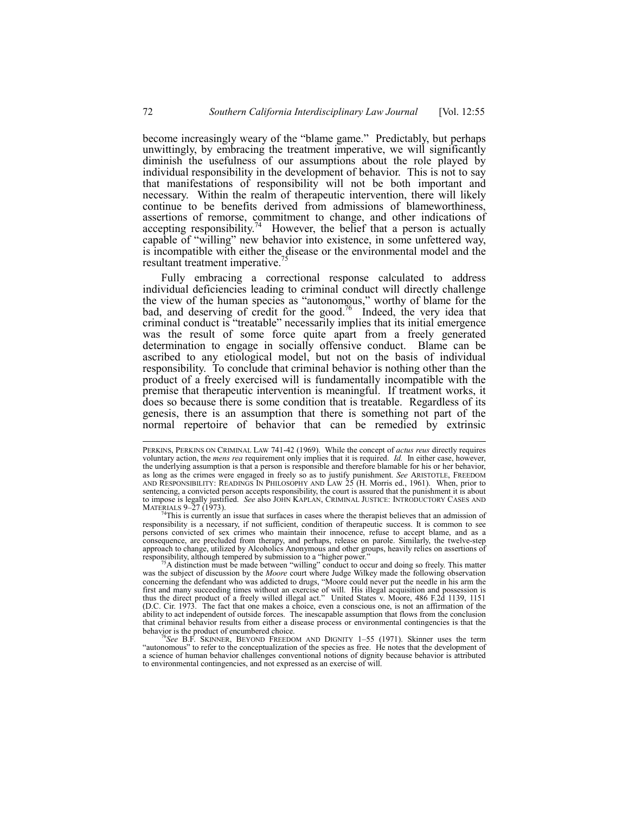become increasingly weary of the "blame game." Predictably, but perhaps unwittingly, by embracing the treatment imperative, we will significantly diminish the usefulness of our assumptions about the role played by individual responsibility in the development of behavior. This is not to say that manifestations of responsibility will not be both important and necessary. Within the realm of therapeutic intervention, there will likely continue to be benefits derived from admissions of blameworthiness, assertions of remorse, commitment to change, and other indications of accepting responsibility.<sup>74</sup> However, the belief that a person is actually capable of "willing" new behavior into existence, in some unfettered way, is incompatible with either the disease or the environmental model and the resultant treatment imperative.

Fully embracing a correctional response calculated to address individual deficiencies leading to criminal conduct will directly challenge the view of the human species as "autonomous," worthy of blame for the bad, and deserving of credit for the good.<sup>76</sup> Indeed, the very idea that criminal conduct is "treatable" necessarily implies that its initial emergence was the result of some force quite apart from a freely generated determination to engage in socially offensive conduct. Blame can be ascribed to any etiological model, but not on the basis of individual responsibility. To conclude that criminal behavior is nothing other than the product of a freely exercised will is fundamentally incompatible with the premise that therapeutic intervention is meaningful. If treatment works, it does so because there is some condition that is treatable. Regardless of its genesis, there is an assumption that there is something not part of the normal repertoire of behavior that can be remedied by extrinsic

See B.F. SKINNER, BEYOND FREEDOM AND DIGNITY 1-55 (1971). Skinner uses the term ìautonomousî to refer to the conceptualization of the species as free. He notes that the development of a science of human behavior challenges conventional notions of dignity because behavior is attributed to environmental contingencies, and not expressed as an exercise of will.

PERKINS, PERKINS ON CRIMINAL LAW 741-42 (1969). While the concept of *actus reus* directly requires voluntary action, the *mens rea* requirement only implies that it is required. *Id.* In either case, however, the underlying assumption is that a person is responsible and therefore blamable for his or her behavior, as long as the crimes were engaged in freely so as to justify punishment. *See* ARISTOTLE, FREEDOM AND RESPONSIBILITY: READINGS IN PHILOSOPHY AND LAW 25 (H. Morris ed., 1961). When, prior to sentencing, a convicted person accepts responsibility, the court is assured that the punishment it is about to impose is legally justified. *See* also JOHN KAPLAN, CRIMINAL JUSTICE: INTRODUCTORY CASES AND

MATERIALS 9–27 (1973).<br><sup>74</sup>This is currently an issue that surfaces in cases where the therapist believes that an admission of  $^{74}$ This is currently an issue that surfaces in cases where the therapist believes that an admission of responsibility is a necessary, if not sufficient, condition of therapeutic success. It is common to see persons convicted of sex crimes who maintain their innocence, refuse to accept blame, and as a consequence, are precluded from therapy, and perhaps, release on parole. Similarly, the twelve-step approach to change, utilized by Alcoholics Anonymous and other groups, heavily relies on assertions of responsibility, although tempered by submission to a "higher power."

 $r^2$ A distinction must be made between "willing" conduct to occur and doing so freely. This matter was the subject of discussion by the *Moore* court where Judge Wilkey made the following observation concerning the defendant who was addicted to drugs, "Moore could never put the needle in his arm the first and many succeeding times without an exercise of will. His illegal acquisition and possession is thus the direct product of a freely willed illegal act.î United States v. Moore, 486 F.2d 1139, 1151 (D.C. Cir. 1973. The fact that one makes a choice, even a conscious one, is not an affirmation of the ability to act independent of outside forces. The inescapable assumption that flows from the conclusion that criminal behavior results from either a disease process or environmental contingencies is that the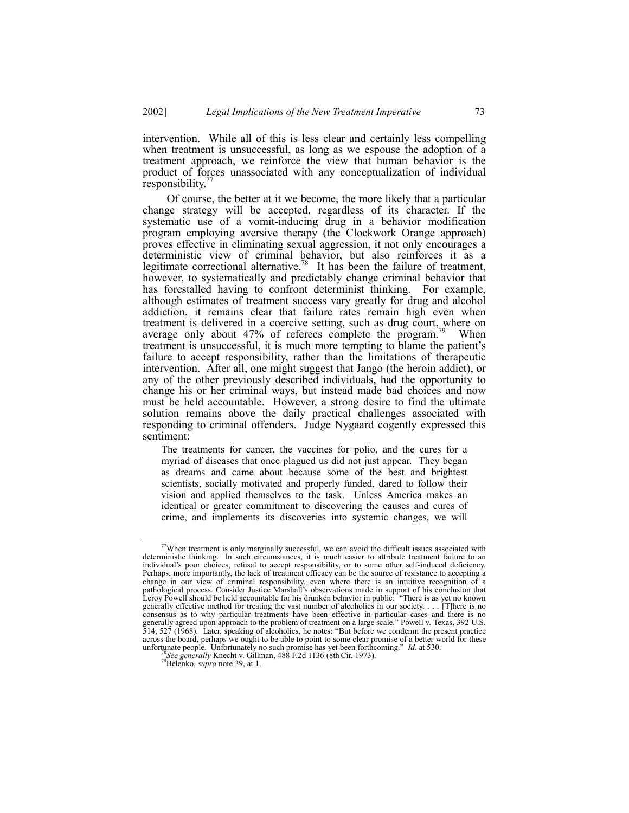intervention. While all of this is less clear and certainly less compelling when treatment is unsuccessful, as long as we espouse the adoption of a treatment approach, we reinforce the view that human behavior is the product of forces unassociated with any conceptualization of individual responsibility.

 Of course, the better at it we become, the more likely that a particular change strategy will be accepted, regardless of its character. If the systematic use of a vomit-inducing drug in a behavior modification program employing aversive therapy (the Clockwork Orange approach) proves effective in eliminating sexual aggression, it not only encourages a deterministic view of criminal behavior, but also reinforces it as a legitimate correctional alternative.<sup>78</sup> It has been the failure of treatment, however, to systematically and predictably change criminal behavior that has forestalled having to confront determinist thinking. For example, although estimates of treatment success vary greatly for drug and alcohol addiction, it remains clear that failure rates remain high even when treatment is delivered in a coercive setting, such as drug court, where on average only about  $47\%$  of referees complete the program.<sup>79</sup> When treatment is unsuccessful, it is much more tempting to blame the patient's failure to accept responsibility, rather than the limitations of therapeutic intervention. After all, one might suggest that Jango (the heroin addict), or any of the other previously described individuals, had the opportunity to change his or her criminal ways, but instead made bad choices and now must be held accountable. However, a strong desire to find the ultimate solution remains above the daily practical challenges associated with responding to criminal offenders. Judge Nygaard cogently expressed this sentiment:

The treatments for cancer, the vaccines for polio, and the cures for a myriad of diseases that once plagued us did not just appear. They began as dreams and came about because some of the best and brightest scientists, socially motivated and properly funded, dared to follow their vision and applied themselves to the task. Unless America makes an identical or greater commitment to discovering the causes and cures of crime, and implements its discoveries into systemic changes, we will

 $77$ When treatment is only marginally successful, we can avoid the difficult issues associated with deterministic thinking. In such circumstances, it is much easier to attribute treatment failure to an individual's poor choices, refusal to accept responsibility, or to some other self-induced deficiency. Perhaps, more importantly, the lack of treatment efficacy can be the source of resistance to accepting a change in our view of criminal responsibility, even where there is an intuitive recognition of a pathological process. Consider Justice Marshallís observations made in support of his conclusion that Leroy Powell should be held accountable for his drunken behavior in public: "There is as yet no known generally effective method for treating the vast number of alcoholics in our society. . . . [T]here is no consensus as to why particular treatments have been effective in particular cases and there is no generally agreed upon approach to the problem of treatment on a large scale." Powell v. Texas, 392 U.S.  $\overline{5}14$ ,  $52\overline{7}$  (1968). Later, speaking of alcoholics, he notes: "But before we condemn the present practice across the board, perhaps we ought to be able to point to some clear promise of a better world for these unfortunate people. Unfortunately no such promise has yet been forthcoming.<sup>37</sup> *Id.* at 530. <sup>78</sup>*See generally* Knecht v. Gillman, 488 F.2d 1136 (8th Cir. 1973). <sup>79</sup>Belenko, *supra* note 39, at 1.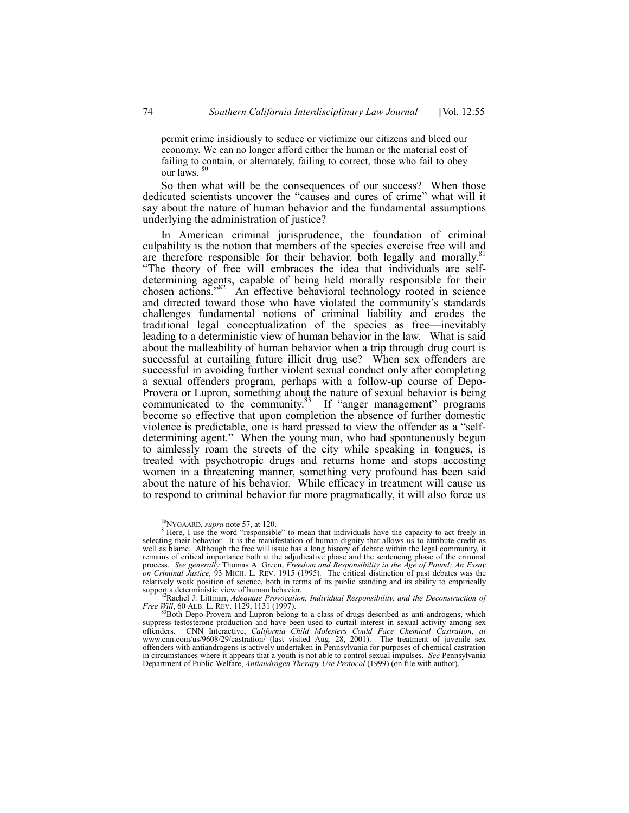permit crime insidiously to seduce or victimize our citizens and bleed our economy. We can no longer afford either the human or the material cost of failing to contain, or alternately, failing to correct, those who fail to obey our laws.<sup>8</sup>

So then what will be the consequences of our success? When those dedicated scientists uncover the "causes and cures of crime" what will it say about the nature of human behavior and the fundamental assumptions underlying the administration of justice?

In American criminal jurisprudence, the foundation of criminal culpability is the notion that members of the species exercise free will and are therefore responsible for their behavior, both legally and morally.<sup>81</sup> ìThe theory of free will embraces the idea that individuals are selfdetermining agents, capable of being held morally responsible for their chosen actions.<sup>782</sup> An effective behavioral technology rooted in science and directed toward those who have violated the community's standards challenges fundamental notions of criminal liability and erodes the traditional legal conceptualization of the species as free—inevitably leading to a deterministic view of human behavior in the law. What is said about the malleability of human behavior when a trip through drug court is successful at curtailing future illicit drug use? When sex offenders are successful in avoiding further violent sexual conduct only after completing a sexual offenders program, perhaps with a follow-up course of Depo-Provera or Lupron, something about the nature of sexual behavior is being communicated to the community.<sup>83</sup> If "anger management" programs become so effective that upon completion the absence of further domestic violence is predictable, one is hard pressed to view the offender as a "selfdetermining agent." When the young man, who had spontaneously begun to aimlessly roam the streets of the city while speaking in tongues, is treated with psychotropic drugs and returns home and stops accosting women in a threatening manner, something very profound has been said about the nature of his behavior. While efficacy in treatment will cause us to respond to criminal behavior far more pragmatically, it will also force us

<sup>&</sup>lt;sup>80</sup>NYGAARD, *supra* note 57, at 120. <sup>81</sup>Here, I use the word "responsible" to mean that individuals have the capacity to act freely in selecting their behavior. It is the manifestation of human dignity that allows us to attribute credit as well as blame. Although the free will issue has a long history of debate within the legal community, it remains of critical importance both at the adjudicative phase and the sentencing phase of the criminal process. *See generally* Thomas A. Green, *Freedom and Responsibility in the Age of Pound: An Essay on Criminal Justice,* 93 MICH. L. REV. 1915 (1995)*.* The critical distinction of past debates was the relatively weak position of science, both in terms of its public standing and its ability to empirically

support a deterministic view of human behavior.<br><sup>82</sup>Rachel J. Littman, *Adequate Provocation, Individual Responsibility, and the Deconstruction of*<br>*Free Will*, 60 ALB. L. REV. 1129, 1131 (1997).

<sup>&</sup>lt;sup>3</sup>Both Depo-Provera and Lupron belong to a class of drugs described as anti-androgens, which suppress testosterone production and have been used to curtail interest in sexual activity among sex offenders. CNN Interactive, *California Child Molesters Could Face Chemical Castration*, *at* www.cnn.com/us/9608/29/castration/ (last visited Aug. 28, 2001). The treatment of juvenile sex offenders with antiandrogens is actively undertaken in Pennsylvania for purposes of chemical castration in circumstances where it appears that a youth is not able to control sexual impulses. *See* Pennsylvania Department of Public Welfare, *Antiandrogen Therapy Use Protocol* (1999) (on file with author).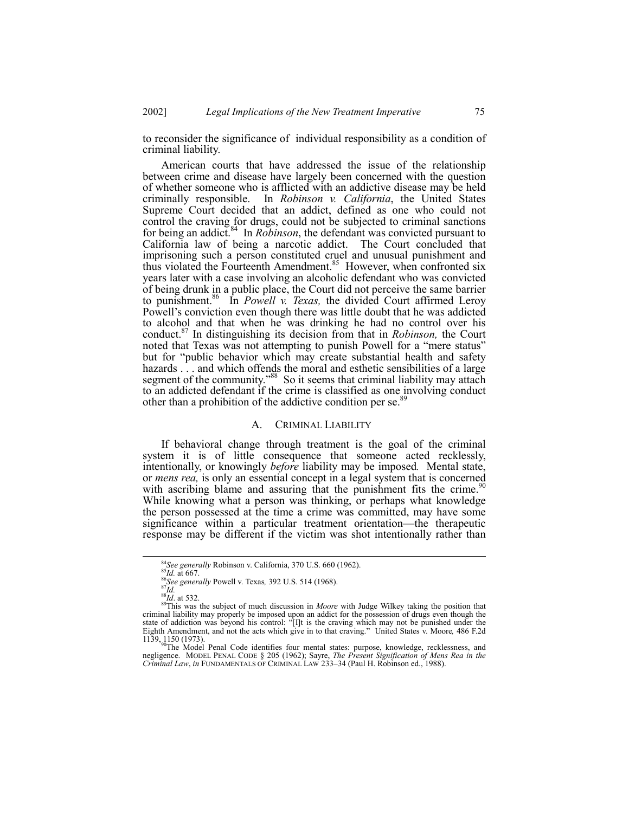to reconsider the significance of individual responsibility as a condition of criminal liability.

American courts that have addressed the issue of the relationship between crime and disease have largely been concerned with the question of whether someone who is afflicted with an addictive disease may be held criminally responsible. In *Robinson v. California*, the United States Supreme Court decided that an addict, defined as one who could not control the craving for drugs, could not be subjected to criminal sanctions for being an addict.<sup>84</sup> In *Robinson*, the defendant was convicted pursuant to California law of being a narcotic addict. The Court concluded that imprisoning such a person constituted cruel and unusual punishment and thus violated the Fourteenth Amendment.<sup>85</sup> However, when confronted six years later with a case involving an alcoholic defendant who was convicted of being drunk in a public place, the Court did not perceive the same barrier to punishment.86 In *Powell v. Texas,* the divided Court affirmed Leroy Powell's conviction even though there was little doubt that he was addicted to alcohol and that when he was drinking he had no control over his conduct.87 In distinguishing its decision from that in *Robinson,* the Court noted that Texas was not attempting to punish Powell for a "mere status" but for "public behavior which may create substantial health and safety hazards . . . and which offends the moral and esthetic sensibilities of a large segment of the community.<sup>88</sup> So it seems that criminal liability may attach to an addicted defendant if the crime is classified as one involving conduct other than a prohibition of the addictive condition per se.<sup>8</sup>

## A. CRIMINAL LIABILITY

If behavioral change through treatment is the goal of the criminal system it is of little consequence that someone acted recklessly, intentionally, or knowingly *before* liability may be imposed*.* Mental state, or *mens rea,* is only an essential concept in a legal system that is concerned with ascribing blame and assuring that the punishment fits the crime.<sup>90</sup> While knowing what a person was thinking, or perhaps what knowledge the person possessed at the time a crime was committed, may have some significance within a particular treatment orientation—the therapeutic response may be different if the victim was shot intentionally rather than

<sup>&</sup>lt;sup>84</sup>See generally Robinson v. California, 370 U.S. 660 (1962).<br><sup>85</sup>Id. at 667.<br><sup>86</sup>See generally Powell v. Texas, 392 U.S. 514 (1968).<br><sup>87</sup>Ils was the subject of much discussion in *Moore* with Judge Wilkey taking the pos criminal liability may properly be imposed upon an addict for the possession of drugs even though the state of addiction was beyond his control:  $\left\langle \right| I|t$  is the craving which may not be punished under the

Eighth Amendment, and not the acts which give in to that craving.î United States v. Moore*,* 486 F.2d 1139, 1150 (1973). **90The Model Penal Code identifies four mental states:** purpose, knowledge, recklessness, and

negligence. MODEL PENAL CODE ß 205 (1962); Sayre, *The Present Signification of Mens Rea in the Criminal Law, in* FUNDAMENTALS OF CRIMINAL LAW 233-34 (Paul H. Robinson ed., 1988).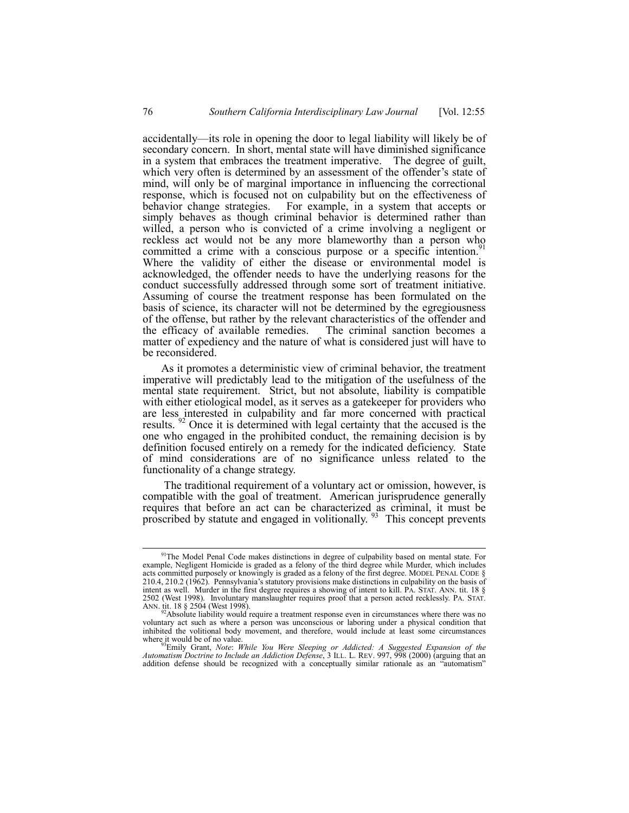accidentally—its role in opening the door to legal liability will likely be of secondary concern. In short, mental state will have diminished significance in a system that embraces the treatment imperative. The degree of guilt, which very often is determined by an assessment of the offender's state of mind, will only be of marginal importance in influencing the correctional response, which is focused not on culpability but on the effectiveness of behavior change strategies. For example, in a system that accepts or simply behaves as though criminal behavior is determined rather than willed, a person who is convicted of a crime involving a negligent or reckless act would not be any more blameworthy than a person who committed a crime with a conscious purpose or a specific intention.<sup>9</sup> Where the validity of either the disease or environmental model is acknowledged, the offender needs to have the underlying reasons for the conduct successfully addressed through some sort of treatment initiative. Assuming of course the treatment response has been formulated on the basis of science, its character will not be determined by the egregiousness of the offense, but rather by the relevant characteristics of the offender and the efficacy of available remedies. The criminal sanction becomes a matter of expediency and the nature of what is considered just will have to be reconsidered.

As it promotes a deterministic view of criminal behavior, the treatment imperative will predictably lead to the mitigation of the usefulness of the mental state requirement. Strict, but not absolute, liability is compatible with either etiological model, as it serves as a gatekeeper for providers who are less interested in culpability and far more concerned with practical results. <sup>92</sup> Once it is determined with legal certainty that the accused is the one who engaged in the prohibited conduct, the remaining decision is by definition focused entirely on a remedy for the indicated deficiency. State of mind considerations are of no significance unless related to the functionality of a change strategy.

 The traditional requirement of a voluntary act or omission, however, is compatible with the goal of treatment. American jurisprudence generally requires that before an act can be characterized as criminal, it must be proscribed by statute and engaged in volitionally.<sup>93</sup> This concept prevents

<sup>&</sup>lt;sup>91</sup>The Model Penal Code makes distinctions in degree of culpability based on mental state. For example, Negligent Homicide is graded as a felony of the third degree while Murder, which includes acts committed purposely or knowingly is graded as a felony of the first degree. MODEL PENAL CODE ß 210.4, 210.2 (1962). Pennsylvaniaís statutory provisions make distinctions in culpability on the basis of intent as well. Murder in the first degree requires a showing of intent to kill. PA. STAT. ANN. tit. 18 ß 2502 (West 1998). Involuntary manslaughter requires proof that a person acted recklessly. PA. STAT. ANN. tit. 18 § 2504 (West 1998).

<sup>&</sup>lt;sup>2</sup>Absolute liability would require a treatment response even in circumstances where there was no voluntary act such as where a person was unconscious or laboring under a physical condition that inhibited the volitional body movement, and therefore, would include at least some circumstances where it would be of no value.<br><sup>93</sup>Emily Grant, *Note: While You Were Sleeping or Addicted: A Suggested Expansion of the* 

*Automatism Doctrine to Include an Addiction Defense*, 3 ILL. L. REV. 997, 998 (2000) (arguing that an addition defense should be recognized with a conceptually similar rationale as an "automatism"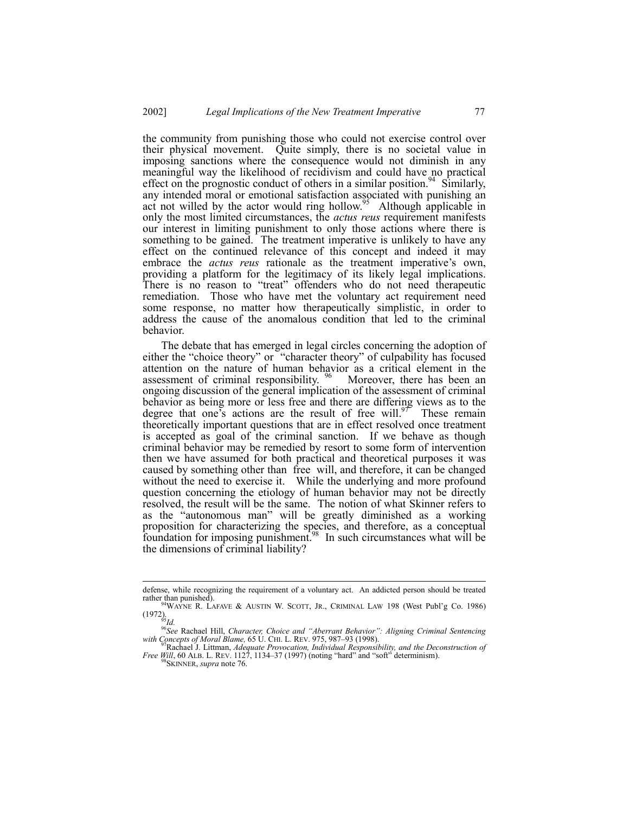the community from punishing those who could not exercise control over their physical movement. Quite simply, there is no societal value in imposing sanctions where the consequence would not diminish in any meaningful way the likelihood of recidivism and could have no practical effect on the prognostic conduct of others in a similar position.<sup>94</sup> Similarly, any intended moral or emotional satisfaction associated with punishing an act not willed by the actor would ring hollow.<sup>95</sup> Although applicable in only the most limited circumstances, the *actus reus* requirement manifests our interest in limiting punishment to only those actions where there is something to be gained. The treatment imperative is unlikely to have any effect on the continued relevance of this concept and indeed it may embrace the *actus reus* rationale as the treatment imperative's own, providing a platform for the legitimacy of its likely legal implications. There is no reason to "treat" offenders who do not need therapeutic remediation. Those who have met the voluntary act requirement need some response, no matter how therapeutically simplistic, in order to address the cause of the anomalous condition that led to the criminal behavior.

The debate that has emerged in legal circles concerning the adoption of either the "choice theory" or "character theory" of culpability has focused attention on the nature of human behavior as a critical element in the assessment of criminal responsibility.  $\frac{96}{96}$  Moreover, there has been an ongoing discussion of the general implication of the assessment of criminal behavior as being more or less free and there are differing views as to the degree that one's actions are the result of free will.<sup>97</sup> These remain theoretically important questions that are in effect resolved once treatment is accepted as goal of the criminal sanction. If we behave as though criminal behavior may be remedied by resort to some form of intervention then we have assumed for both practical and theoretical purposes it was caused by something other than free will, and therefore, it can be changed without the need to exercise it. While the underlying and more profound question concerning the etiology of human behavior may not be directly resolved, the result will be the same. The notion of what Skinner refers to as the "autonomous man" will be greatly diminished as a working proposition for characterizing the species, and therefore, as a conceptual foundation for imposing punishment.<sup>98</sup> In such circumstances what will be the dimensions of criminal liability?

defense, while recognizing the requirement of a voluntary act. An addicted person should be treated rather than punished).

<sup>&</sup>lt;sup>94</sup>WAYNE R. LAFAVE & AUSTIN W. SCOTT, JR., CRIMINAL LAW 198 (West Publ'g Co. 1986) (1972).

<sup>&</sup>lt;sup>96</sup>See Rachael Hill, *Character, Choice and "Aberrant Behavior": Aligning Criminal Sentencing*<br>with Concepts of Moral Blame, 65 U. CHI. L. REV. 975, 987–93 (1998).

<sup>&</sup>lt;sup>7</sup> Rachael J. Littman, *Adequate Provocation, Individual Responsibility, and the Deconstruction of Free Will*, 60 ALB. L. REV. 1127, 1134–37 (1997) (noting "hard" and "soft" determinism). <sup>98</sup>SKINNER, *supra* note 76.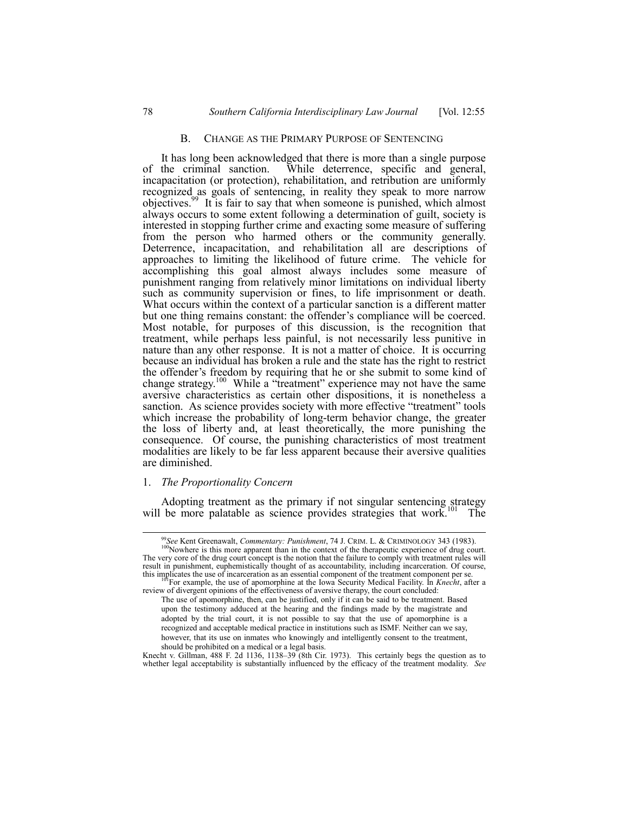## B. CHANGE AS THE PRIMARY PURPOSE OF SENTENCING

It has long been acknowledged that there is more than a single purpose of the criminal sanction. While deterrence, specific and general, While deterrence, specific and general, incapacitation (or protection), rehabilitation, and retribution are uniformly recognized as goals of sentencing, in reality they speak to more narrow objectives.99 It is fair to say that when someone is punished, which almost always occurs to some extent following a determination of guilt, society is interested in stopping further crime and exacting some measure of suffering from the person who harmed others or the community generally. Deterrence, incapacitation, and rehabilitation all are descriptions of approaches to limiting the likelihood of future crime. The vehicle for accomplishing this goal almost always includes some measure of punishment ranging from relatively minor limitations on individual liberty such as community supervision or fines, to life imprisonment or death. What occurs within the context of a particular sanction is a different matter but one thing remains constant: the offender's compliance will be coerced. Most notable, for purposes of this discussion, is the recognition that treatment, while perhaps less painful, is not necessarily less punitive in nature than any other response. It is not a matter of choice. It is occurring because an individual has broken a rule and the state has the right to restrict the offender's freedom by requiring that he or she submit to some kind of change strategy.<sup>100</sup> While a "treatment" experience may not have the same aversive characteristics as certain other dispositions, it is nonetheless a sanction. As science provides society with more effective "treatment" tools which increase the probability of long-term behavior change, the greater the loss of liberty and, at least theoretically, the more punishing the consequence. Of course, the punishing characteristics of most treatment modalities are likely to be far less apparent because their aversive qualities are diminished.

#### 1. *The Proportionality Concern*

Adopting treatment as the primary if not singular sentencing strategy  $\frac{101}{101}$  The will be more palatable as science provides strategies that work.<sup>101</sup> The

<sup>&</sup>lt;sup>99</sup>See Kent Greenawalt, *Commentary: Punishment*, 74 J. CRIM. L. & CRIMINOLOGY 343 (1983). <sup>100</sup>Nowhere is this more apparent than in the context of the therapeutic experience of drug court. The very core of the drug court concept is the notion that the failure to comply with treatment rules will result in punishment, euphemistically thought of as accountability, including incarceration. Of course, this implicates the use of incarceration as an essential component of the treatment component per se.

<sup>&</sup>lt;sup>1</sup>For example, the use of apomorphine at the Iowa Security Medical Facility. In *Knecht*, after a review of divergent opinions of the effectiveness of aversive therapy, the court concluded:

The use of apomorphine, then, can be justified, only if it can be said to be treatment. Based upon the testimony adduced at the hearing and the findings made by the magistrate and adopted by the trial court, it is not possible to say that the use of apomorphine is a recognized and acceptable medical practice in institutions such as ISMF. Neither can we say, however, that its use on inmates who knowingly and intelligently consent to the treatment, should be prohibited on a medical or a legal basis.

Knecht v. Gillman, 488 F. 2d 1136, 1138–39 (8th Cir. 1973). This certainly begs the question as to whether legal acceptability is substantially influenced by the efficacy of the treatment modality. *See*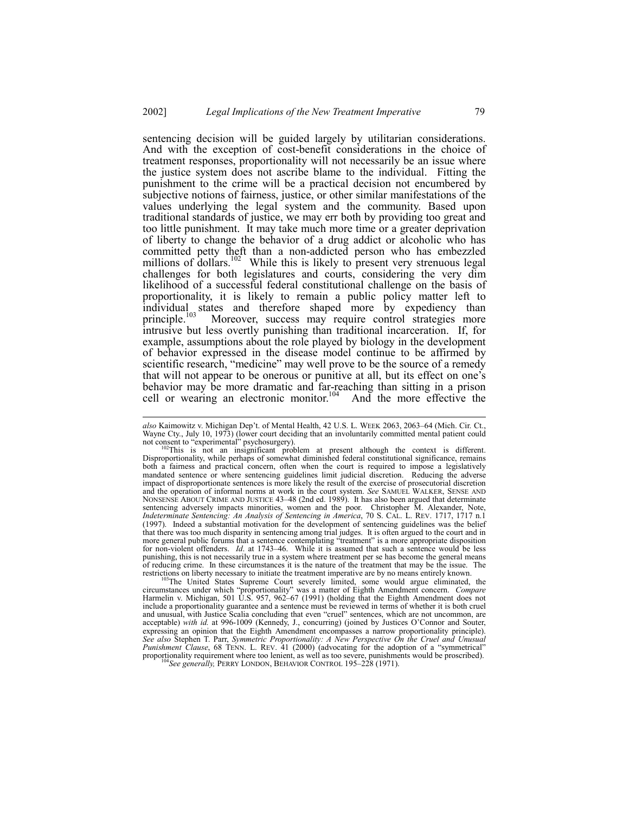sentencing decision will be guided largely by utilitarian considerations. And with the exception of cost-benefit considerations in the choice of treatment responses, proportionality will not necessarily be an issue where the justice system does not ascribe blame to the individual. Fitting the punishment to the crime will be a practical decision not encumbered by subjective notions of fairness, justice, or other similar manifestations of the values underlying the legal system and the community. Based upon traditional standards of justice, we may err both by providing too great and too little punishment. It may take much more time or a greater deprivation of liberty to change the behavior of a drug addict or alcoholic who has committed petty theft than a non-addicted person who has embezzled millions of dollars.<sup>102</sup> While this is likely to present very strenuous legal challenges for both legislatures and courts, considering the very dim likelihood of a successful federal constitutional challenge on the basis of proportionality, it is likely to remain a public policy matter left to individual states and therefore shaped more by expediency than principle.<sup>103</sup> Moreover, success may require control strategies more principle.<sup>103</sup> Moreover, success may require control strategies more intrusive but less overtly punishing than traditional incarceration. If, for example, assumptions about the role played by biology in the development of behavior expressed in the disease model continue to be affirmed by scientific research, "medicine" may well prove to be the source of a remedy that will not appear to be onerous or punitive at all, but its effect on one's behavior may be more dramatic and far-reaching than sitting in a prison cell or wearing an electronic monitor.<sup>104</sup> And the more effective the

l

restrictions on liberty necessary to initiate the treatment imperative are by no means entirely known.<br><sup>103</sup>The United States Supreme Court severely limited, some would argue eliminated, the circumstances under which "prop Harmelin v. Michigan, 501 U.S. 957, 962–67 (1991) (holding that the Eighth Amendment does not include a proportionality guarantee and a sentence must be reviewed in terms of whether it is both cruel and unusual, with Justice Scalia concluding that even "cruel" sentences, which are not uncommon, are acceptable) *with id.* at 996-1009 (Kennedy, J., concurring) (joined by Justices O'Connor and Souter, expressing an opinion that the Eighth Amendment encompasses a narrow proportionality principle). *See also* Stephen T. Parr, *Symmetric Proportionality: A New Perspective On the Cruel and Unusual Punishment Clause*, 68 TENN. L. REV. 41 (2000) (advocating for the adoption of a "symmetrical" proportionality requirement where too lenient, as well as too severe, punishments would be proscribed). <sup>104</sup>*See generally,* PERRY LONDON, BEHAVIOR CONTROL 195–228 (1971).

also Kaimowitz v. Michigan Dep't. of Mental Health, 42 U.S. L. WEEK 2063, 2063–64 (Mich. Cir. Ct., Wayne Cty., July 10, 1973) (lower court deciding that an involuntarily committed mental patient could not consent to "experimental" psychosurgery).

not consent to "experimental" psychosurgery).<br><sup>102</sup>This is not an insignificant problem at present although the context is different. Disproportionality, while perhaps of somewhat diminished federal constitutional significance, remains both a fairness and practical concern, often when the court is required to impose a legislatively mandated sentence or where sentencing guidelines limit judicial discretion. Reducing the adverse impact of disproportionate sentences is more likely the result of the exercise of prosecutorial discretion and the operation of informal norms at work in the court system. *See* SAMUEL WALKER, SENSE AND NONSENSE ABOUT CRIME AND JUSTICE 43–48 (2nd ed. 1989). It has also been argued that determinate sentencing adversely impacts minorities, women and the poor. Christopher M. Alexander, Note, *Indeterminate Sentencing: An Analysis of Sentencing in America*, 70 S. CAL. L. REV. 1717, 1717 n.1 (1997). Indeed a substantial motivation for the development of sentencing guidelines was the belief that there was too much disparity in sentencing among trial judges. It is often argued to the court and in more general public forums that a sentence contemplating "treatment" is a more appropriate disposition for non-violent offenders. *Id.* at 1743–46. While it is assumed that such a sentence would be less punishing, this is not necessarily true in a system where treatment per se has become the general means of reducing crime. In these circumstances it is the nature of the treatment that may be the issue. The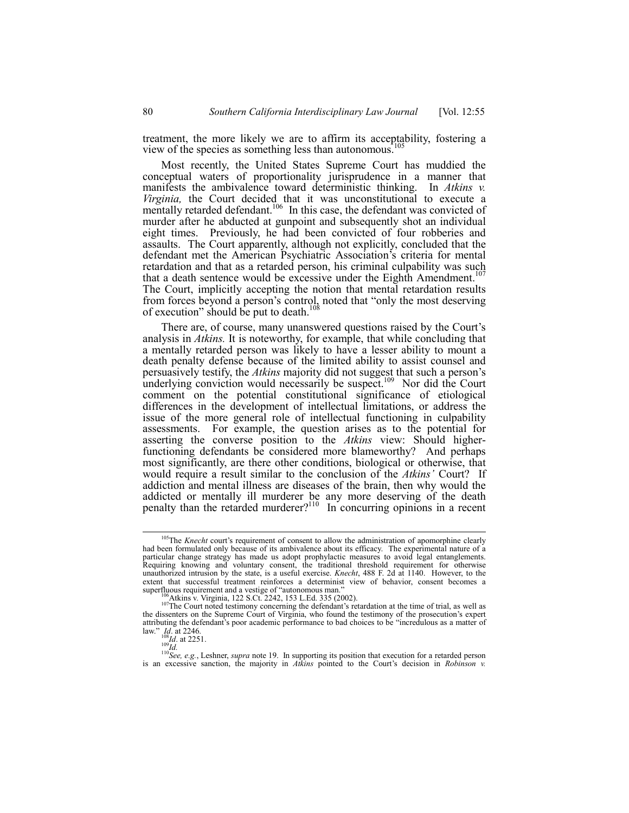treatment, the more likely we are to affirm its acceptability, fostering a view of the species as something less than autonomous.

Most recently, the United States Supreme Court has muddied the conceptual waters of proportionality jurisprudence in a manner that manifests the ambivalence toward deterministic thinking. In *Atkins v. Virginia,* the Court decided that it was unconstitutional to execute a mentally retarded defendant.<sup>106</sup> In this case, the defendant was convicted of murder after he abducted at gunpoint and subsequently shot an individual eight times. Previously, he had been convicted of four robberies and assaults. The Court apparently, although not explicitly, concluded that the defendant met the American Psychiatric Association's criteria for mental retardation and that as a retarded person, his criminal culpability was such that a death sentence would be excessive under the Eighth Amendment.<sup>107</sup> The Court, implicitly accepting the notion that mental retardation results from forces beyond a person's control, noted that "only the most deserving of execution" should be put to death.<sup>1</sup>

There are, of course, many unanswered questions raised by the Court's analysis in *Atkins.* It is noteworthy, for example, that while concluding that a mentally retarded person was likely to have a lesser ability to mount a death penalty defense because of the limited ability to assist counsel and persuasively testify, the *Atkins* majority did not suggest that such a person's underlying conviction would necessarily be suspect.<sup>109</sup> Nor did the Court comment on the potential constitutional significance of etiological differences in the development of intellectual limitations, or address the issue of the more general role of intellectual functioning in culpability assessments. For example, the question arises as to the potential for asserting the converse position to the *Atkins* view: Should higherfunctioning defendants be considered more blameworthy? And perhaps most significantly, are there other conditions, biological or otherwise, that would require a result similar to the conclusion of the *Atkins'* Court? If addiction and mental illness are diseases of the brain, then why would the addicted or mentally ill murderer be any more deserving of the death penalty than the retarded murderer?<sup>110</sup> In concurring opinions in a recent

<sup>&</sup>lt;sup>105</sup>The *Knecht* court's requirement of consent to allow the administration of apomorphine clearly had been formulated only because of its ambivalence about its efficacy. The experimental nature of a particular change strategy has made us adopt prophylactic measures to avoid legal entanglements. Requiring knowing and voluntary consent, the traditional threshold requirement for otherwise unauthorized intrusion by the state, is a useful exercise. *Knecht*, 488 F. 2d at 1140. However, to the extent that successful treatment reinforces a determinist view of behavior, consent becomes a superfluous requirement and a vestige of "autonomous man."<br> $\frac{106}{100}$ Atkins v. Virginia, 122 S.Ct. 2242, 153 L.Ed. 335 (2002

EXERCIS V. Virginia, 122 S.C. 2242, 153 L.E. 335 (2004).  $\frac{1}{2}$  as well as well as well as well as well as well as  $\frac{1}{2}$  as well as  $\frac{1}{2}$  as well as  $\frac{1}{2}$  as well as  $\frac{1}{2}$  as  $\frac{1}{2}$  and  $\frac{1}{2}$  are the dissenters on the Supreme Court of Virginia, who found the testimony of the prosecution's expert attributing the defendant's poor academic performance to bad choices to be "incredulous as a matter of law.<sup>3</sup> *Id*. at 2246.<br><sup>108</sup>*Id*. at 2251.<br><sup>108</sup>*Id.* at 2251.<br><sup>109</sup>*Id.* <sup>110</sup>*See, e.g.*, Leshner, *supra* note 19. In supporting its position that execution for a retarded person

is an excessive sanction, the majority in *Atkins* pointed to the Court's decision in *Robinson* v.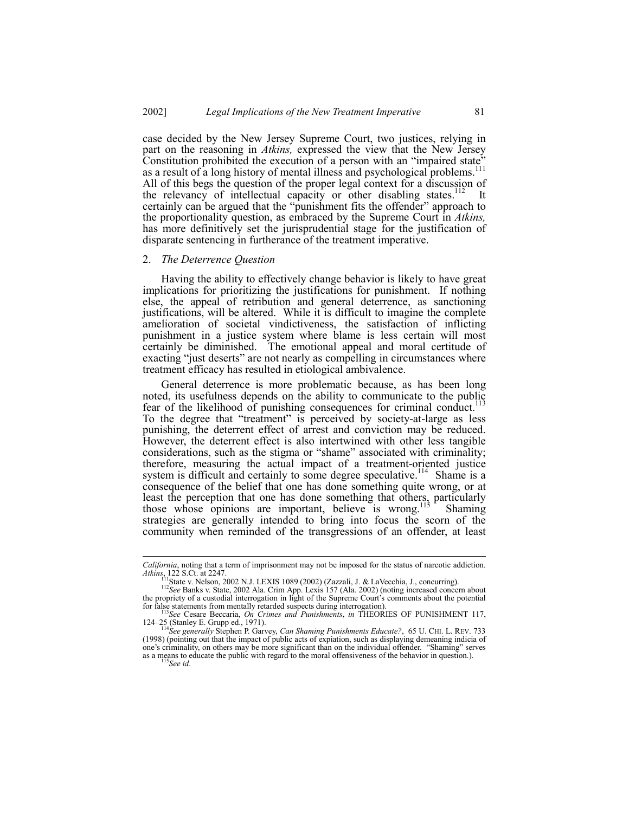case decided by the New Jersey Supreme Court, two justices, relying in part on the reasoning in *Atkins,* expressed the view that the New Jersey Constitution prohibited the execution of a person with an "impaired state" as a result of a long history of mental illness and psychological problems.<sup>111</sup> All of this begs the question of the proper legal context for a discussion of the relevancy of intellectual capacity or other disabling states.<sup>112</sup> It certainly can be argued that the "punishment fits the offender" approach to the proportionality question, as embraced by the Supreme Court in *Atkins,* has more definitively set the jurisprudential stage for the justification of disparate sentencing in furtherance of the treatment imperative.

## 2. *The Deterrence Question*

Having the ability to effectively change behavior is likely to have great implications for prioritizing the justifications for punishment. If nothing else, the appeal of retribution and general deterrence, as sanctioning justifications, will be altered. While it is difficult to imagine the complete amelioration of societal vindictiveness, the satisfaction of inflicting punishment in a justice system where blame is less certain will most certainly be diminished. The emotional appeal and moral certitude of exacting "just deserts" are not nearly as compelling in circumstances where treatment efficacy has resulted in etiological ambivalence.

General deterrence is more problematic because, as has been long of the noted, its usefulness depends on the ability to communicate to the public<br>noted, its usefulness depends on the ability to communicate to the public fear of the likelihood of punishing consequences for criminal conduct.<sup>1</sup> To the degree that "treatment" is perceived by society-at-large as less punishing, the deterrent effect of arrest and conviction may be reduced. However, the deterrent effect is also intertwined with other less tangible considerations, such as the stigma or "shame" associated with criminality; therefore, measuring the actual impact of a treatment-oriented justice system is difficult and certainly to some degree speculative.<sup>114</sup> Shame is a consequence of the belief that one has done something quite wrong, or at least the perception that one has done something that others, particularly those whose opinions are important, believe is wrong.<sup>115</sup> Shaming strategies are generally intended to bring into focus the scorn of the community when reminded of the transgressions of an offender, at least

l

*California*, noting that a term of imprisonment may not be imposed for the status of narcotic addiction. *Atkins*, 122 S.Ct. at 2247.

<sup>111</sup>State v. Nelson, 2002 N.J. LEXIS 1089 (2002) (Zazzali, J. & LaVecchia, J., concurring). <sup>112</sup>*See* Banks v. State, 2002 Ala. Crim App. Lexis 157 (Ala. 2002) (noting increased concern about

the propriety of a custodial interrogation in light of the Supreme Court's comments about the potential for false statements from mentally retarded suspects during interrogation). <sup>113</sup>*See* Cesare Beccaria, *On Crimes and Punishments*, *in* THEORIES OF PUNISHMENT 117,

<sup>124</sup>ñ25 (Stanley E. Grupp ed., 1971). <sup>114</sup>*See generally* Stephen P. Garvey, *Can Shaming Punishments Educate?*, 65 U. CHI. L. REV. 733

<sup>(1998) (</sup>pointing out that the impact of public acts of expiation, such as displaying demeaning indicia of one's criminality, on others may be more significant than on the individual offender. "Shaming" serves as a means to educate the public with regard to the moral offensiveness of the behavior in question.). <sup>115</sup>*See id*.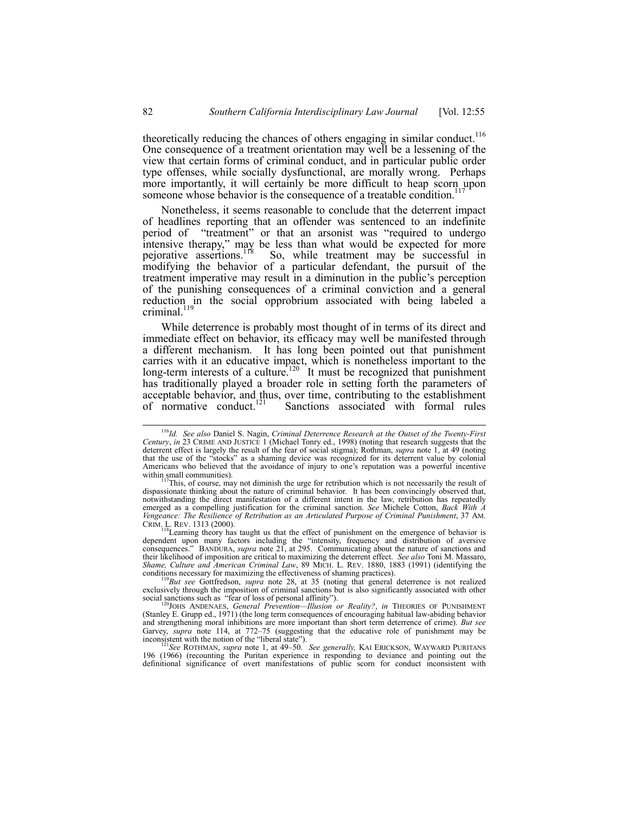theoretically reducing the chances of others engaging in similar conduct.<sup>116</sup> One consequence of a treatment orientation may well be a lessening of the view that certain forms of criminal conduct, and in particular public order type offenses, while socially dysfunctional, are morally wrong. Perhaps more importantly, it will certainly be more difficult to heap scorn upon someone whose behavior is the consequence of a treatable condition.

Nonetheless, it seems reasonable to conclude that the deterrent impact of headlines reporting that an offender was sentenced to an indefinite period of "treatment" or that an arsonist was "required to undergo intensive therapy," may be less than what would be expected for more pejorative assertions.<sup>118</sup> So, while treatment may be successful in modifying the behavior of a particular defendant, the pursuit of the treatment imperative may result in a diminution in the public's perception of the punishing consequences of a criminal conviction and a general reduction in the social opprobrium associated with being labeled a criminal.<sup>119</sup>

While deterrence is probably most thought of in terms of its direct and immediate effect on behavior, its efficacy may well be manifested through a different mechanism. It has long been pointed out that punishment carries with it an educative impact, which is nonetheless important to the long-term interests of a culture.<sup>120</sup> It must be recognized that punishment has traditionally played a broader role in setting forth the parameters of acceptable behavior, and thus, over time, contributing to the establishment of normative conduct.<sup>121</sup> Sanctions associated with formal rules Sanctions associated with formal rules

<sup>9</sup>But see Gottfredson, *supra* note 28, at 35 (noting that general deterrence is not realized exclusively through the imposition of criminal sanctions but is also significantly associated with other social sanctions such as "fear of loss of personal affinity").<br>
<sup>120</sup>JOHS ANDENAES, *General Prevention—Illusion or Reality?*, *in* THEORIES OF PUNISHMENT

(Stanley E. Grupp ed., 1971) (the long term consequences of encouraging habitual law-abiding behavior and strengthening moral inhibitions are more important than short term deterrence of crime). *But see* Garvey, *supra* note 114, at 772–75 (suggesting that the educative role of punishment may be inconsistent with the notion of the <sup>*c*</sup>iliberal state<sup>3</sup>). The *calculation of the <sup>c</sup>liberal state<sup>3</sup>). See generally,* KAI ERICKSON, WAYWARD PURITANS

196 (1966) (recounting the Puritan experience in responding to deviance and pointing out the definitional significance of overt manifestations of public scorn for conduct inconsistent with

 <sup>116</sup>*Id. See also* Daniel S. Nagin, *Criminal Deterrence Research at the Outset of the Twenty-First Century*, *in* 23 CRIME AND JUSTICE 1 (Michael Tonry ed., 1998) (noting that research suggests that the deterrent effect is largely the result of the fear of social stigma); Rothman, *supra* note 1, at 49 (noting that the use of the "stocks" as a shaming device was recognized for its deterrent value by colonial Americans who believed that the avoidance of injury to one's reputation was a powerful incentive within small communities).

This, of course, may not diminish the urge for retribution which is not necessarily the result of dispassionate thinking about the nature of criminal behavior. It has been convincingly observed that, notwithstanding the direct manifestation of a different intent in the law, retribution has repeatedly emerged as a compelling justification for the criminal sanction. *See* Michele Cotton, *Back With A Vengeance: The Resilience of Retribution as an Articulated Purpose of Criminal Punishment*, 37 AM. CRIM. L. REV. 1313 (2000).  $\frac{118}{118}$  Learning theory has taught us that the effect of punishment on the emergence of behavior is

dependent upon many factors including the "intensity, frequency and distribution of aversive consequences.î BANDURA, *supra* note 21, at 295. Communicating about the nature of sanctions and their likelihood of imposition are critical to maximizing the deterrent effect. *See also* Toni M. Massaro, *Shame, Culture and American Criminal Law*, 89 MICH. L. REV. 1880, 1883 (1991) (identifying the conditions necessary for maximizing the effectiveness of shaming practices).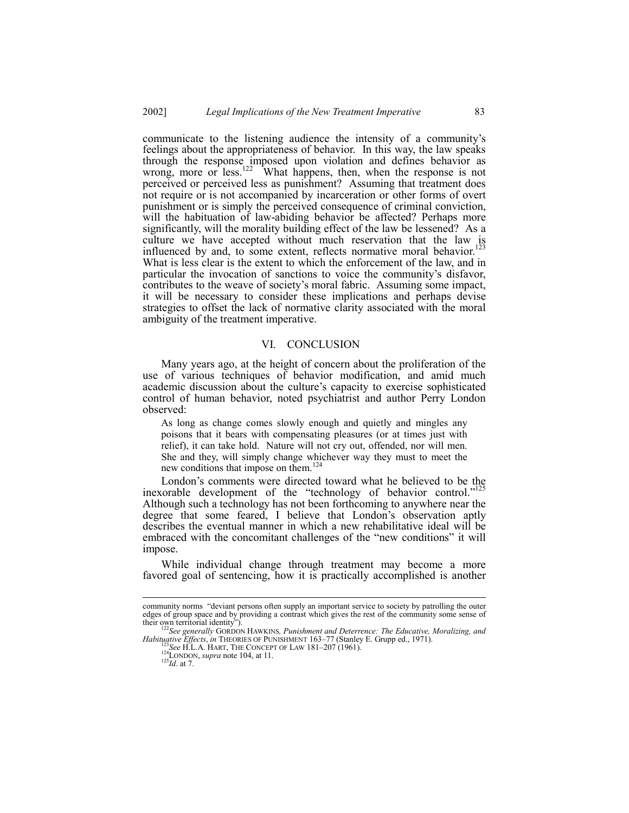communicate to the listening audience the intensity of a communityís feelings about the appropriateness of behavior. In this way, the law speaks through the response imposed upon violation and defines behavior as wrong, more or less.<sup>122</sup> What happens, then, when the response is not perceived or perceived less as punishment? Assuming that treatment does not require or is not accompanied by incarceration or other forms of overt punishment or is simply the perceived consequence of criminal conviction, will the habituation of law-abiding behavior be affected? Perhaps more significantly, will the morality building effect of the law be lessened? As a culture we have accepted without much reservation that the law is influenced by and, to some extent, reflects normative moral behavior.<sup>123</sup> What is less clear is the extent to which the enforcement of the law, and in particular the invocation of sanctions to voice the community's disfavor, contributes to the weave of society's moral fabric. Assuming some impact, it will be necessary to consider these implications and perhaps devise strategies to offset the lack of normative clarity associated with the moral ambiguity of the treatment imperative.

## VI. CONCLUSION

Many years ago, at the height of concern about the proliferation of the use of various techniques of behavior modification, and amid much academic discussion about the culture's capacity to exercise sophisticated control of human behavior, noted psychiatrist and author Perry London observed:

As long as change comes slowly enough and quietly and mingles any poisons that it bears with compensating pleasures (or at times just with relief), it can take hold. Nature will not cry out, offended, nor will men. She and they, will simply change whichever way they must to meet the new conditions that impose on them.<sup>124</sup>

London's comments were directed toward what he believed to be the inexorable development of the "technology of behavior control." $125$ Although such a technology has not been forthcoming to anywhere near the degree that some feared, I believe that London's observation aptly describes the eventual manner in which a new rehabilitative ideal will be embraced with the concomitant challenges of the "new conditions" it will impose.

While individual change through treatment may become a more favored goal of sentencing, how it is practically accomplished is another

community norms "deviant persons often supply an important service to society by patrolling the outer edges of group space and by providing a contrast which gives the rest of the community some sense of their own territorial identity").

<sup>&</sup>lt;sup>2</sup>See generally GORDON HAWKINS, Punishment and Deterrence: The Educative, Moralizing, and *Habituative Effects, in THEORIES OF PUNISHMENT 163-77 (Stanley E. Grupp ed., 1971).*<br>
<sup>123</sup>*See H.L.A. HART, THE CONCEPT OF LAW 181-207 (1961).*<br>
<sup>124</sup>LONDON*, supra* note 104, at 11.<br>
<sup>125</sup>*Id.* at 7.